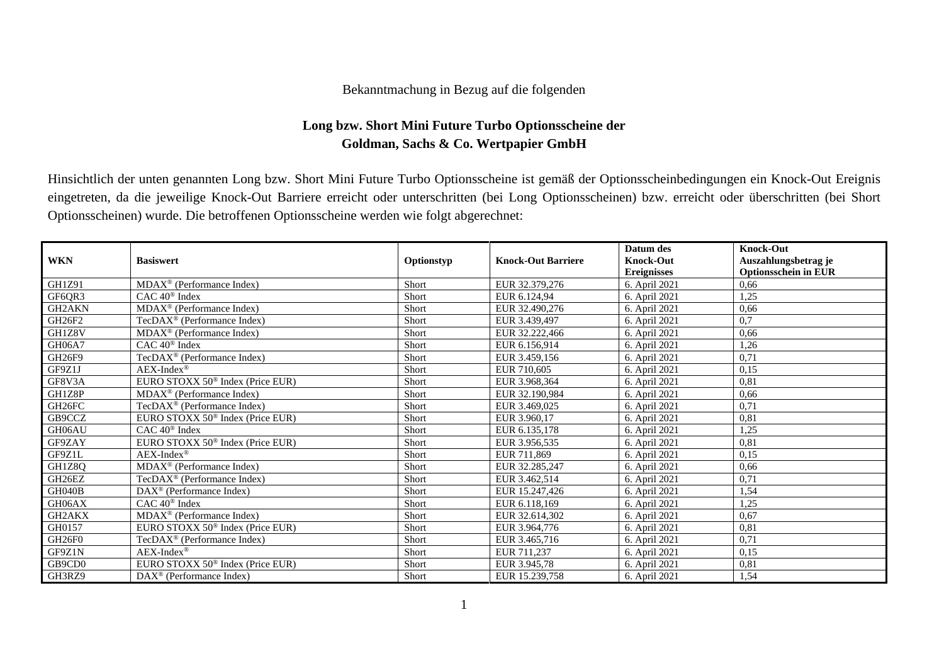## Bekanntmachung in Bezug auf die folgenden

## **Long bzw. Short Mini Future Turbo Optionsscheine der Goldman, Sachs & Co. Wertpapier GmbH**

Hinsichtlich der unten genannten Long bzw. Short Mini Future Turbo Optionsscheine ist gemäß der Optionsscheinbedingungen ein Knock-Out Ereignis eingetreten, da die jeweilige Knock-Out Barriere erreicht oder unterschritten (bei Long Optionsscheinen) bzw. erreicht oder überschritten (bei Short Optionsscheinen) wurde. Die betroffenen Optionsscheine werden wie folgt abgerechnet:

| <b>WKN</b>    | <b>Basiswert</b>                             | Optionstyp | <b>Knock-Out Barriere</b> | Datum des<br><b>Knock-Out</b> | <b>Knock-Out</b><br>Auszahlungsbetrag je |
|---------------|----------------------------------------------|------------|---------------------------|-------------------------------|------------------------------------------|
|               |                                              |            |                           | <b>Ereignisses</b>            | <b>Optionsschein in EUR</b>              |
| GH1Z91        | MDAX <sup>®</sup> (Performance Index)        | Short      | EUR 32.379.276            | 6. April 2021                 | 0.66                                     |
| GF6QR3        | $CAC 40$ <sup>®</sup> Index                  | Short      | EUR 6.124.94              | 6. April 2021                 | 1,25                                     |
| <b>GH2AKN</b> | $MDAX^{\circledR}$ (Performance Index)       | Short      | EUR 32.490.276            | 6. April 2021                 | 0,66                                     |
| GH26F2        | TecDAX <sup>®</sup> (Performance Index)      | Short      | EUR 3.439,497             | 6. April 2021                 | 0,7                                      |
| GH1Z8V        | $MDAX^{\circledR}$ (Performance Index)       | Short      | EUR 32.222,466            | 6. April 2021                 | 0,66                                     |
| <b>GH06A7</b> | $CAC 40$ <sup>®</sup> Index                  | Short      | EUR 6.156.914             | 6. April 2021                 | 1,26                                     |
| GH26F9        | TecDAX <sup>®</sup> (Performance Index)      | Short      | EUR 3.459.156             | 6. April 2021                 | 0,71                                     |
| GF9Z1J        | $AEX-Index^{\circledR}$                      | Short      | EUR 710,605               | 6. April 2021                 | 0.15                                     |
| GF8V3A        | EURO STOXX 50 <sup>®</sup> Index (Price EUR) | Short      | EUR 3.968.364             | 6. April 2021                 | 0,81                                     |
| GH1Z8P        | $MDAX^{\circledcirc}$ (Performance Index)    | Short      | EUR 32.190.984            | 6. April 2021                 | 0,66                                     |
| GH26FC        | TecDAX <sup>®</sup> (Performance Index)      | Short      | EUR 3.469,025             | 6. April 2021                 | 0,71                                     |
| GB9CCZ        | EURO STOXX 50 <sup>®</sup> Index (Price EUR) | Short      | EUR 3.960.17              | 6. April 2021                 | 0,81                                     |
| GH06AU        | $CAC 40^{\circledast}$ Index                 | Short      | EUR 6.135,178             | 6. April 2021                 | 1,25                                     |
| GF9ZAY        | EURO STOXX 50 <sup>®</sup> Index (Price EUR) | Short      | EUR 3.956,535             | 6. April 2021                 | 0.81                                     |
| GF9Z1L        | $AEX-Index^{\circledR}$                      | Short      | EUR 711,869               | 6. April 2021                 | 0,15                                     |
| GH1Z8Q        | $MDAX^{\circledR}$ (Performance Index)       | Short      | EUR 32.285,247            | 6. April 2021                 | 0,66                                     |
| GH26EZ        | TecDAX <sup>®</sup> (Performance Index)      | Short      | EUR 3.462,514             | 6. April 2021                 | 0,71                                     |
| GH040B        | $DAX^{\omega}$ (Performance Index)           | Short      | EUR 15.247,426            | 6. April 2021                 | 1,54                                     |
| GH06AX        | $CAC 40^{\circ}$ Index                       | Short      | EUR 6.118,169             | 6. April 2021                 | 1,25                                     |
| GH2AKX        | $MDAX^{\circledR}$ (Performance Index)       | Short      | EUR 32.614,302            | 6. April 2021                 | 0,67                                     |
| GH0157        | EURO STOXX 50 <sup>®</sup> Index (Price EUR) | Short      | EUR 3.964,776             | 6. April 2021                 | 0,81                                     |
| GH26F0        | TecDAX <sup>®</sup> (Performance Index)      | Short      | EUR 3.465,716             | 6. April 2021                 | 0,71                                     |
| GF9Z1N        | $AEX-Index^{\circledR}$                      | Short      | EUR 711,237               | 6. April 2021                 | 0,15                                     |
| GB9CD0        | EURO STOXX 50 <sup>®</sup> Index (Price EUR) | Short      | EUR 3.945,78              | 6. April 2021                 | 0,81                                     |
| GH3RZ9        | $DAX^{\circledcirc}$ (Performance Index)     | Short      | EUR 15.239.758            | 6. April 2021                 | 1,54                                     |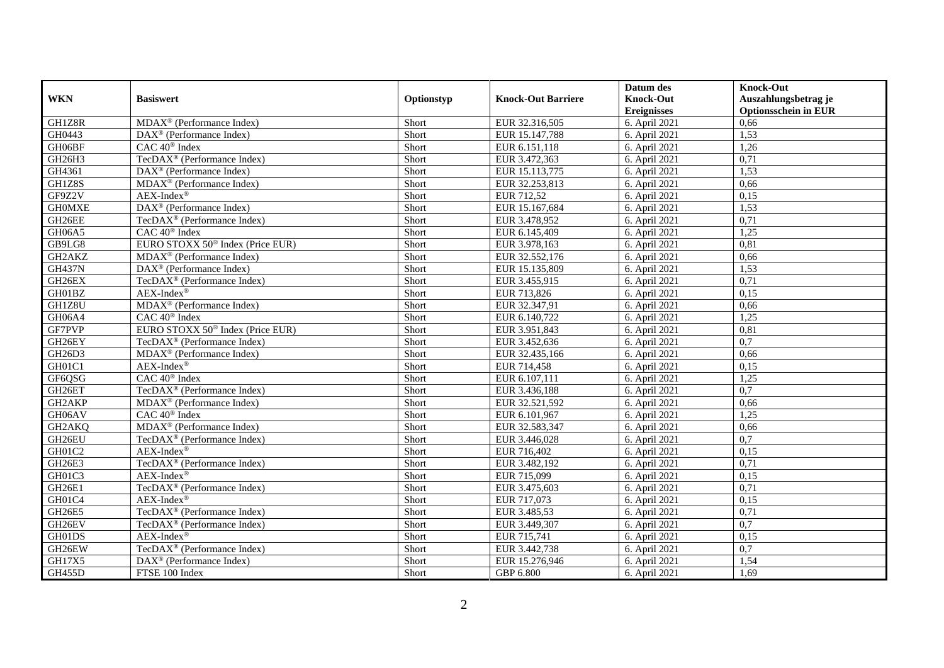|                     |                                                    |            |                           | Datum des                              | <b>Knock-Out</b>                                    |
|---------------------|----------------------------------------------------|------------|---------------------------|----------------------------------------|-----------------------------------------------------|
| <b>WKN</b>          | <b>Basiswert</b>                                   | Optionstyp | <b>Knock-Out Barriere</b> | <b>Knock-Out</b><br><b>Ereignisses</b> | Auszahlungsbetrag je<br><b>Optionsschein in EUR</b> |
| GH1Z8R              | $MDAX^{\circledR}$ (Performance Index)             | Short      | EUR 32.316,505            | 6. April 2021                          | 0,66                                                |
| GH0443              | $\text{DAX}^{\textcircled{p}}$ (Performance Index) | Short      | EUR 15.147,788            | 6. April 2021                          | 1,53                                                |
| GH06BF              | CAC 40 <sup>®</sup> Index                          | Short      | EUR 6.151,118             | 6. April 2021                          | 1,26                                                |
| GH26H3              | TecDAX <sup>®</sup> (Performance Index)            | Short      | EUR 3.472,363             | 6. April 2021                          | 0,71                                                |
| GH4361              | DAX <sup>®</sup> (Performance Index)               | Short      | EUR 15.113,775            | 6. April 2021                          | 1,53                                                |
| GH1Z8S              | $MDAX^{\circledcirc}$ (Performance Index)          | Short      | EUR 32.253,813            |                                        | 0,66                                                |
| GF9Z2V              | $AEX-Index^{\circledR}$                            | Short      | EUR 712,52                | 6. April 2021                          | 0,15                                                |
|                     |                                                    |            |                           | 6. April 2021                          |                                                     |
| <b>GH0MXE</b>       | DAX <sup>®</sup> (Performance Index)               | Short      | EUR 15.167,684            | 6. April 2021                          | 1,53                                                |
| GH26EE              | TecDAX <sup>®</sup> (Performance Index)            | Short      | EUR 3.478,952             | 6. April 2021                          | 0,71                                                |
| GH06A5              | $CAC 40^{\circledast}$ Index                       | Short      | EUR 6.145,409             | 6. April 2021                          | 1,25                                                |
| GB9LG8              | EURO STOXX 50 <sup>®</sup> Index (Price EUR)       | Short      | EUR 3.978,163             | 6. April 2021                          | 0,81                                                |
| GH2AKZ              | $MDAX^{\circledR}$ (Performance Index)             | Short      | EUR 32.552,176            | 6. April 2021                          | 0,66                                                |
| <b>GH437N</b>       | $\text{DAX}^{\textcircled{n}}$ (Performance Index) | Short      | EUR 15.135,809            | 6. April 2021                          | 1,53                                                |
| GH26EX              | TecDAX <sup>®</sup> (Performance Index)            | Short      | EUR 3.455,915             | 6. April 2021                          | 0,71                                                |
| GH01BZ              | $AEX$ -Index®                                      | Short      | EUR 713,826               | 6. April 2021                          | 0,15                                                |
| GH1Z8U              | MDAX <sup>®</sup> (Performance Index)              | Short      | EUR 32.347,91             | 6. April 2021                          | 0,66                                                |
| GH06A4              | CAC 40 <sup>®</sup> Index                          | Short      | EUR 6.140,722             | 6. April 2021                          | 1,25                                                |
| GF7PVP              | EURO STOXX 50 <sup>®</sup> Index (Price EUR)       | Short      | EUR 3.951,843             | 6. April 2021                          | 0,81                                                |
| GH26EY              | TecDAX <sup>®</sup> (Performance Index)            | Short      | EUR 3.452,636             | 6. April 2021                          | $\overline{0.7}$                                    |
| GH26D3              | $MDAX^{\circledR}$ (Performance Index)             | Short      | EUR 32.435,166            | 6. April 2021                          | 0,66                                                |
| GH01C1              | $AEX-Index^{\circledR}$                            | Short      | EUR 714,458               | 6. April 2021                          | 0,15                                                |
| GF6QSG              | CAC 40 <sup>®</sup> Index                          | Short      | EUR 6.107,111             | 6. April 2021                          | 1,25                                                |
| GH26ET              | TecDAX <sup>®</sup> (Performance Index)            | Short      | EUR 3.436,188             | 6. April 2021                          | $\overline{0.7}$                                    |
| GH2AKP              | MDAX <sup>®</sup> (Performance Index)              | Short      | EUR 32.521,592            | 6. April 2021                          | 0,66                                                |
| GH06AV              | CAC 40 <sup>®</sup> Index                          | Short      | EUR 6.101,967             | 6. April 2021                          | 1,25                                                |
| GH <sub>2</sub> AKQ | MDAX <sup>®</sup> (Performance Index)              | Short      | EUR 32.583,347            | 6. April 2021                          | 0,66                                                |
| GH26EU              | TecDAX <sup>®</sup> (Performance Index)            | Short      | EUR 3.446,028             | 6. April 2021                          | $\overline{0.7}$                                    |
| GH01C2              | $AEX-Index^{\circledR}$                            | Short      | EUR 716,402               | 6. April 2021                          | 0,15                                                |
| GH26E3              | TecDAX <sup>®</sup> (Performance Index)            | Short      | EUR 3.482,192             | 6. April 2021                          | 0,71                                                |
| GH01C3              | $AEX-Index^{\circledR}$                            | Short      | EUR 715,099               | 6. April 2021                          | 0,15                                                |
| GH26E1              | TecDAX <sup>®</sup> (Performance Index)            | Short      | EUR 3.475,603             | 6. April 2021                          | 0,71                                                |
| GH01C4              | $AEX-Index^{\circledR}$                            | Short      | EUR 717,073               | 6. April 2021                          | 0,15                                                |
| GH26E5              | TecDAX <sup>®</sup> (Performance Index)            | Short      | EUR 3.485,53              | 6. April 2021                          | 0,71                                                |
| GH26EV              | TecDAX <sup>®</sup> (Performance Index)            | Short      | EUR 3.449,307             | 6. April 2021                          | 0,7                                                 |
| GH01DS              | $AEX-Index^{\circledR}$                            | Short      | EUR 715,741               | 6. April 2021                          | 0,15                                                |
| GH26EW              | TecDAX <sup>®</sup> (Performance Index)            | Short      | EUR 3.442,738             | 6. April 2021                          | 0,7                                                 |
| GH17X5              | DAX <sup>®</sup> (Performance Index)               | Short      | EUR 15.276,946            | 6. April 2021                          | 1,54                                                |
| <b>GH455D</b>       | FTSE 100 Index                                     | Short      | GBP 6.800                 | 6. April 2021                          | 1,69                                                |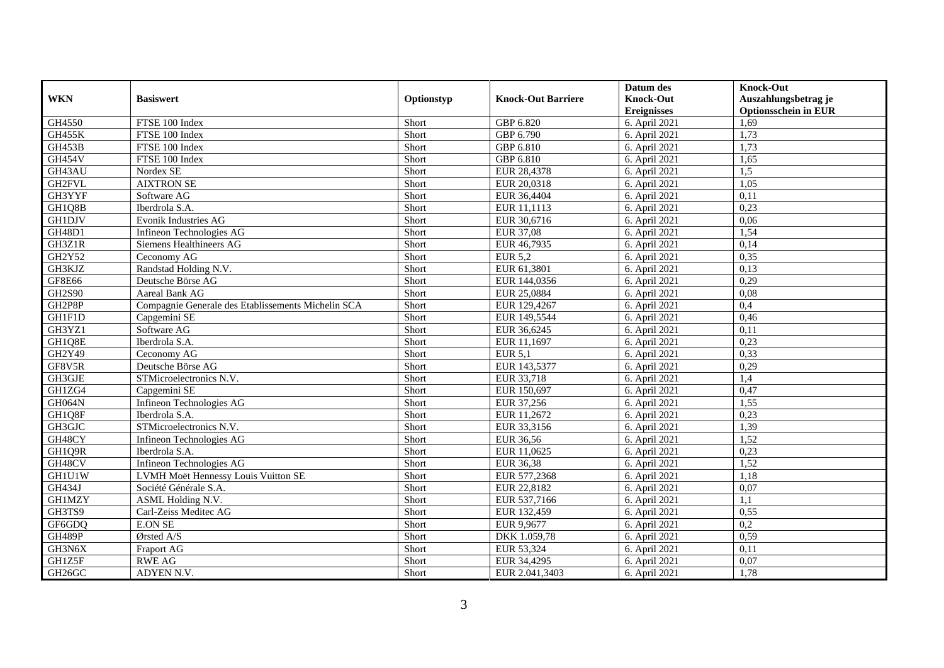|               |                                                    |            |                           | Datum des          | <b>Knock-Out</b>            |
|---------------|----------------------------------------------------|------------|---------------------------|--------------------|-----------------------------|
| <b>WKN</b>    | <b>Basiswert</b>                                   | Optionstyp | <b>Knock-Out Barriere</b> | <b>Knock-Out</b>   | Auszahlungsbetrag je        |
|               |                                                    |            |                           | <b>Ereignisses</b> | <b>Optionsschein in EUR</b> |
| GH4550        | FTSE 100 Index                                     | Short      | GBP 6.820                 | 6. April 2021      | 1,69                        |
| <b>GH455K</b> | FTSE 100 Index                                     | Short      | GBP 6.790                 | 6. April 2021      | 1,73                        |
| GH453B        | FTSE 100 Index                                     | Short      | GBP 6.810                 | 6. April 2021      | 1,73                        |
| <b>GH454V</b> | FTSE 100 Index                                     | Short      | GBP 6.810                 | 6. April 2021      | 1,65                        |
| GH43AU        | Nordex SE                                          | Short      | EUR 28,4378               | 6. April 2021      | 1,5                         |
| GH2FVL        | <b>AIXTRON SE</b>                                  | Short      | EUR 20,0318               | 6. April 2021      | 1,05                        |
| GH3YYF        | Software AG                                        | Short      | EUR 36,4404               | 6. April 2021      | 0,11                        |
| GH1Q8B        | Iberdrola S.A.                                     | Short      | EUR 11,1113               | 6. April 2021      | 0,23                        |
| <b>GH1DJV</b> | <b>Evonik Industries AG</b>                        | Short      | EUR 30,6716               | 6. April 2021      | 0,06                        |
| GH48D1        | Infineon Technologies AG                           | Short      | <b>EUR 37,08</b>          | 6. April 2021      | 1,54                        |
| GH3Z1R        | Siemens Healthineers AG                            | Short      | EUR 46,7935               | 6. April 2021      | 0,14                        |
| GH2Y52        | Ceconomy AG                                        | Short      | <b>EUR 5,2</b>            | 6. April 2021      | 0,35                        |
| GH3KJZ        | Randstad Holding N.V.                              | Short      | EUR 61,3801               | 6. April 2021      | 0,13                        |
| <b>GF8E66</b> | Deutsche Börse AG                                  | Short      | EUR 144,0356              | 6. April 2021      | 0,29                        |
| <b>GH2S90</b> | Aareal Bank AG                                     | Short      | EUR 25,0884               | 6. April 2021      | 0,08                        |
| GH2P8P        | Compagnie Generale des Etablissements Michelin SCA | Short      | EUR 129,4267              | 6. April 2021      | 0,4                         |
| GH1F1D        | Capgemini SE                                       | Short      | EUR 149,5544              | 6. April 2021      | 0,46                        |
| GH3YZ1        | Software AG                                        | Short      | EUR 36,6245               | 6. April 2021      | 0.11                        |
| GH1Q8E        | Iberdrola S.A.                                     | Short      | EUR 11,1697               | 6. April 2021      | 0,23                        |
| GH2Y49        | Ceconomy AG                                        | Short      | <b>EUR 5,1</b>            | 6. April 2021      | 0,33                        |
| GF8V5R        | Deutsche Börse AG                                  | Short      | EUR 143,5377              | 6. April 2021      | 0,29                        |
| GH3GJE        | STMicroelectronics N.V.                            | Short      | EUR 33,718                | 6. April 2021      | 1,4                         |
| GH1ZG4        | Capgemini SE                                       | Short      | EUR 150,697               | 6. April 2021      | 0,47                        |
| GH064N        | Infineon Technologies AG                           | Short      | EUR 37,256                | 6. April 2021      | 1,55                        |
| GH1Q8F        | Iberdrola S.A.                                     | Short      | EUR 11,2672               | 6. April 2021      | 0,23                        |
| GH3GJC        | STMicroelectronics N.V.                            | Short      | EUR 33,3156               | 6. April 2021      | 1,39                        |
| GH48CY        | Infineon Technologies AG                           | Short      | EUR 36,56                 | 6. April 2021      | 1,52                        |
| GH1Q9R        | Iberdrola S.A.                                     | Short      | EUR 11,0625               | 6. April 2021      | 0,23                        |
| GH48CV        | Infineon Technologies AG                           | Short      | <b>EUR 36,38</b>          | 6. April 2021      | 1,52                        |
| GH1U1W        | LVMH Moët Hennessy Louis Vuitton SE                | Short      | EUR 577,2368              | 6. April 2021      | 1,18                        |
| GH434J        | Société Générale S.A.                              | Short      | EUR 22,8182               | 6. April 2021      | 0,07                        |
| <b>GH1MZY</b> | ASML Holding N.V.                                  | Short      | EUR 537,7166              | 6. April 2021      | 1,1                         |
| GH3TS9        | Carl-Zeiss Meditec AG                              | Short      | EUR 132,459               | 6. April 2021      | 0,55                        |
| GF6GDQ        | <b>E.ON SE</b>                                     | Short      | EUR 9,9677                | 6. April 2021      | $\overline{0,2}$            |
| GH489P        | Ørsted A/S                                         | Short      | DKK 1.059,78              | 6. April 2021      | 0,59                        |
| GH3N6X        | Fraport AG                                         | Short      | EUR 53,324                | 6. April 2021      | 0,11                        |
| GH1Z5F        | <b>RWE AG</b>                                      | Short      | EUR 34,4295               | 6. April 2021      | 0,07                        |
| GH26GC        | ADYEN N.V.                                         | Short      | EUR 2.041,3403            | 6. April 2021      | 1,78                        |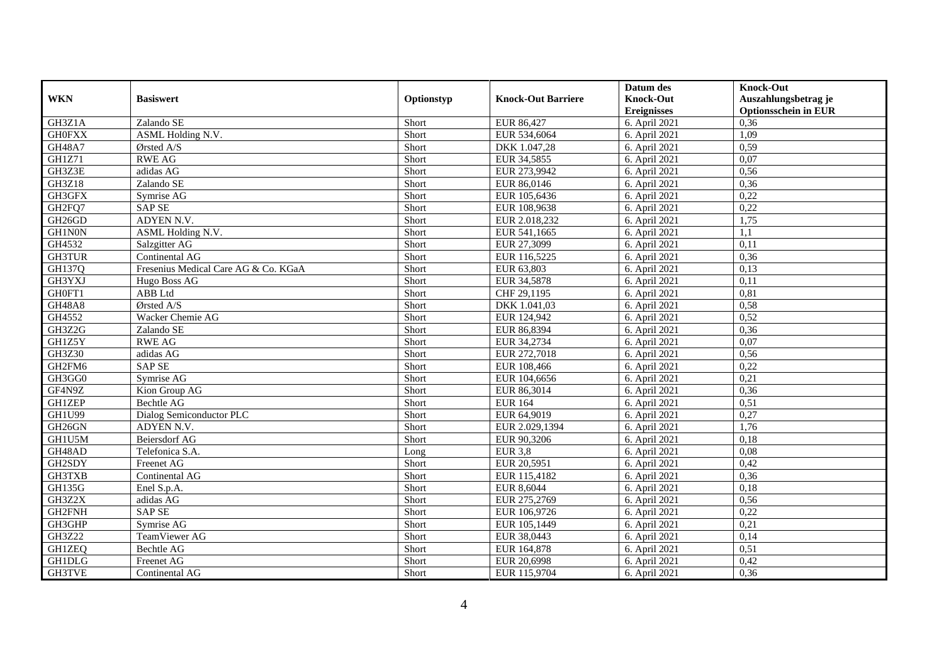|               |                                      |            |                           | Datum des          | <b>Knock-Out</b>            |
|---------------|--------------------------------------|------------|---------------------------|--------------------|-----------------------------|
| <b>WKN</b>    | <b>Basiswert</b>                     | Optionstyp | <b>Knock-Out Barriere</b> | <b>Knock-Out</b>   | Auszahlungsbetrag je        |
|               |                                      |            |                           | <b>Ereignisses</b> | <b>Optionsschein in EUR</b> |
| GH3Z1A        | Zalando SE                           | Short      | EUR 86,427                | 6. April 2021      | 0,36                        |
| <b>GH0FXX</b> | ASML Holding N.V.                    | Short      | EUR 534,6064              | 6. April 2021      | 1,09                        |
| <b>GH48A7</b> | Ørsted A/S                           | Short      | DKK 1.047,28              | 6. April 2021      | 0,59                        |
| GH1Z71        | <b>RWE AG</b>                        | Short      | EUR 34,5855               | 6. April 2021      | 0,07                        |
| GH3Z3E        | adidas AG                            | Short      | EUR 273,9942              | 6. April 2021      | 0,56                        |
| <b>GH3Z18</b> | Zalando SE                           | Short      | EUR 86,0146               | 6. April 2021      | 0,36                        |
| GH3GFX        | Symrise AG                           | Short      | EUR 105,6436              | 6. April 2021      | 0,22                        |
| GH2FQ7        | <b>SAP SE</b>                        | Short      | EUR 108,9638              | 6. April 2021      | 0,22                        |
| GH26GD        | ADYEN N.V.                           | Short      | EUR 2.018,232             | 6. April 2021      | 1,75                        |
| GH1N0N        | ASML Holding N.V.                    | Short      | EUR 541,1665              | 6. April 2021      | 1,1                         |
| GH4532        | Salzgitter AG                        | Short      | EUR 27,3099               | 6. April 2021      | 0,11                        |
| <b>GH3TUR</b> | Continental AG                       | Short      | EUR 116,5225              | 6. April 2021      | 0,36                        |
| GH137Q        | Fresenius Medical Care AG & Co. KGaA | Short      | EUR 63,803                | 6. April 2021      | 0,13                        |
| GH3YXJ        | Hugo Boss AG                         | Short      | EUR 34,5878               | 6. April 2021      | 0,11                        |
| GH0FT1        | ABB Ltd                              | Short      | CHF 29,1195               | 6. April 2021      | 0,81                        |
| <b>GH48A8</b> | Ørsted $\overline{A/S}$              | Short      | DKK 1.041,03              | 6. April 2021      | 0,58                        |
| GH4552        | Wacker Chemie AG                     | Short      | EUR 124,942               | 6. April 2021      | 0,52                        |
| GH3Z2G        | Zalando SE                           | Short      | EUR 86.8394               | 6. April 2021      | 0,36                        |
| GH1Z5Y        | <b>RWE AG</b>                        | Short      | EUR 34,2734               | 6. April 2021      | 0,07                        |
| <b>GH3Z30</b> | adidas AG                            | Short      | EUR 272,7018              | 6. April 2021      | 0,56                        |
| GH2FM6        | <b>SAP SE</b>                        | Short      | EUR 108,466               | 6. April 2021      | 0,22                        |
| GH3GG0        | Symrise AG                           | Short      | EUR 104,6656              | 6. April 2021      | 0,21                        |
| GF4N9Z        | Kion Group AG                        | Short      | EUR 86,3014               | 6. April 2021      | 0,36                        |
| <b>GH1ZEP</b> | <b>Bechtle AG</b>                    | Short      | <b>EUR 164</b>            | 6. April 2021      | 0,51                        |
| <b>GH1U99</b> | Dialog Semiconductor PLC             | Short      | EUR 64,9019               | 6. April 2021      | 0,27                        |
| GH26GN        | ADYEN N.V.                           | Short      | EUR 2.029,1394            | 6. April 2021      | 1,76                        |
| GH1U5M        | Beiersdorf AG                        | Short      | EUR 90,3206               | 6. April 2021      | 0,18                        |
| GH48AD        | Telefonica S.A.                      | Long       | <b>EUR 3,8</b>            | 6. April 2021      | 0.08                        |
| GH2SDY        | Freenet AG                           | Short      | EUR 20,5951               | 6. April 2021      | 0,42                        |
| GH3TXB        | Continental AG                       | Short      | EUR 115,4182              | 6. April 2021      | 0,36                        |
| GH135G        | Enel S.p.A.                          | Short      | EUR 8,6044                | 6. April 2021      | 0,18                        |
| GH3Z2X        | adidas AG                            | Short      | EUR 275,2769              | 6. April 2021      | 0,56                        |
| GH2FNH        | <b>SAP SE</b>                        | Short      | EUR 106,9726              | 6. April 2021      | 0,22                        |
| GH3GHP        | Symrise AG                           | Short      | EUR 105,1449              | 6. April 2021      | 0,21                        |
| GH3Z22        | TeamViewer AG                        | Short      | EUR 38,0443               | 6. April 2021      | 0,14                        |
| <b>GH1ZEQ</b> | Bechtle AG                           | Short      | EUR 164,878               | 6. April 2021      | 0,51                        |
| <b>GH1DLG</b> | Freenet AG                           | Short      | EUR 20,6998               | 6. April 2021      | 0,42                        |
| <b>GH3TVE</b> | Continental AG                       | Short      | EUR 115,9704              | 6. April 2021      | 0,36                        |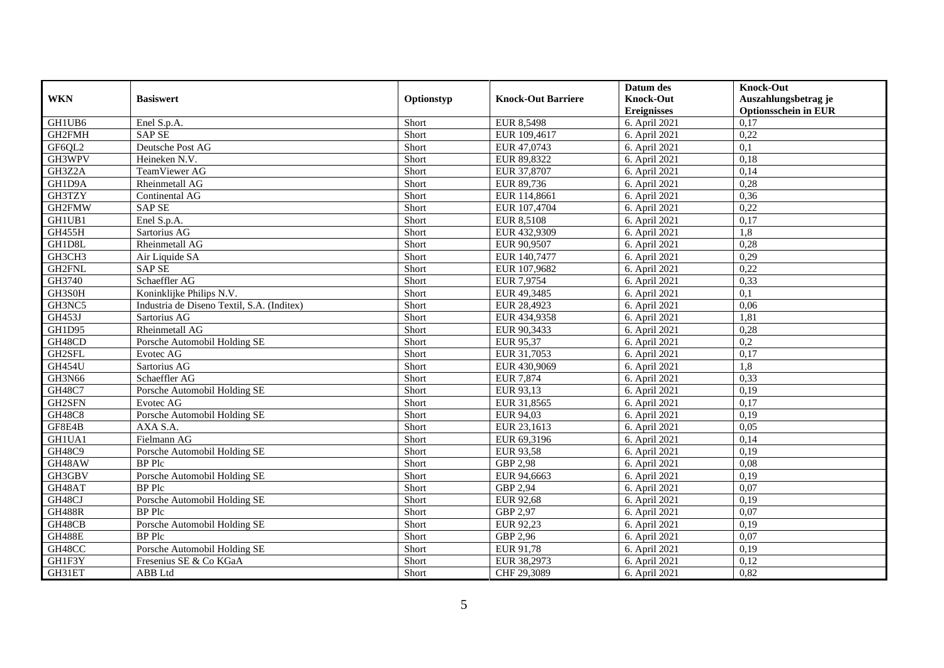|               |                                            |            |                           | Datum des          | <b>Knock-Out</b>            |
|---------------|--------------------------------------------|------------|---------------------------|--------------------|-----------------------------|
| <b>WKN</b>    | <b>Basiswert</b>                           | Optionstyp | <b>Knock-Out Barriere</b> | <b>Knock-Out</b>   | Auszahlungsbetrag je        |
|               |                                            |            |                           | <b>Ereignisses</b> | <b>Optionsschein in EUR</b> |
| GH1UB6        | Enel S.p.A.                                | Short      | <b>EUR 8,5498</b>         | 6. April 2021      | 0,17                        |
| GH2FMH        | <b>SAP SE</b>                              | Short      | EUR 109,4617              | 6. April 2021      | 0,22                        |
| GF6QL2        | Deutsche Post AG                           | Short      | EUR 47,0743               | 6. April 2021      | 0,1                         |
| GH3WPV        | Heineken N.V.                              | Short      | EUR 89,8322               | 6. April 2021      | 0,18                        |
| GH3Z2A        | TeamViewer AG                              | Short      | EUR 37,8707               | 6. April 2021      | 0,14                        |
| GH1D9A        | Rheinmetall AG                             | Short      | EUR 89,736                | 6. April 2021      | 0,28                        |
| GH3TZY        | Continental AG                             | Short      | EUR 114,8661              | 6. April 2021      | 0,36                        |
| GH2FMW        | <b>SAP SE</b>                              | Short      | EUR 107,4704              | 6. April 2021      | 0,22                        |
| GH1UB1        | Enel S.p.A.                                | Short      | <b>EUR 8,5108</b>         | 6. April 2021      | 0,17                        |
| <b>GH455H</b> | Sartorius AG                               | Short      | EUR 432,9309              | 6. April 2021      | 1,8                         |
| GH1D8L        | Rheinmetall AG                             | Short      | EUR 90,9507               | 6. April 2021      | 0,28                        |
| GH3CH3        | Air Liquide SA                             | Short      | EUR 140,7477              | 6. April 2021      | 0,29                        |
| GH2FNL        | <b>SAP SE</b>                              | Short      | EUR 107,9682              | 6. April 2021      | 0,22                        |
| GH3740        | Schaeffler AG                              | Short      | EUR 7,9754                | 6. April 2021      | 0,33                        |
| GH3S0H        | Koninklijke Philips N.V.                   | Short      | EUR 49,3485               | 6. April 2021      | 0,1                         |
| GH3NC5        | Industria de Diseno Textil, S.A. (Inditex) | Short      | EUR 28,4923               | 6. April 2021      | 0,06                        |
| GH453J        | Sartorius AG                               | Short      | EUR 434,9358              | 6. April 2021      | 1,81                        |
| GH1D95        | Rheinmetall AG                             | Short      | EUR 90.3433               | 6. April 2021      | 0,28                        |
| GH48CD        | Porsche Automobil Holding SE               | Short      | EUR 95,37                 | 6. April 2021      | 0,2                         |
| GH2SFL        | Evotec AG                                  | Short      | EUR 31,7053               | 6. April 2021      | 0,17                        |
| <b>GH454U</b> | Sartorius AG                               | Short      | EUR 430,9069              | 6. April 2021      | 1,8                         |
| GH3N66        | Schaeffler AG                              | Short      | <b>EUR 7,874</b>          | 6. April 2021      | 0,33                        |
| <b>GH48C7</b> | Porsche Automobil Holding SE               | Short      | EUR 93,13                 | 6. April 2021      | 0,19                        |
| GH2SFN        | Evotec AG                                  | Short      | EUR 31,8565               | 6. April 2021      | 0,17                        |
| <b>GH48C8</b> | Porsche Automobil Holding SE               | Short      | EUR 94,03                 | 6. April 2021      | 0,19                        |
| GF8E4B        | AXA S.A.                                   | Short      | EUR 23,1613               | 6. April 2021      | 0,05                        |
| GH1UA1        | Fielmann AG                                | Short      | EUR 69,3196               | 6. April 2021      | 0,14                        |
| GH48C9        | Porsche Automobil Holding SE               | Short      | EUR 93,58                 | 6. April 2021      | 0,19                        |
| GH48AW        | <b>BP</b> Plc                              | Short      | <b>GBP 2,98</b>           | 6. April 2021      | 0.08                        |
| GH3GBV        | Porsche Automobil Holding SE               | Short      | EUR 94,6663               | 6. April 2021      | 0,19                        |
| GH48AT        | <b>BP</b> Plc                              | Short      | GBP 2,94                  | 6. April 2021      | 0,07                        |
| GH48CJ        | Porsche Automobil Holding SE               | Short      | <b>EUR 92,68</b>          | 6. April 2021      | 0,19                        |
| <b>GH488R</b> | <b>BP</b> Plc                              | Short      | GBP 2,97                  | 6. April 2021      | 0,07                        |
| GH48CB        | Porsche Automobil Holding SE               | Short      | EUR 92,23                 | 6. April 2021      | 0,19                        |
| <b>GH488E</b> | <b>BP</b> Plc                              | Short      | GBP 2,96                  | 6. April 2021      | 0,07                        |
| GH48CC        | Porsche Automobil Holding SE               | Short      | EUR 91,78                 | 6. April 2021      | 0,19                        |
| GH1F3Y        | Fresenius SE & Co KGaA                     | Short      | EUR 38,2973               | 6. April 2021      | 0,12                        |
| GH31ET        | ABB Ltd                                    | Short      | CHF 29,3089               | 6. April 2021      | 0,82                        |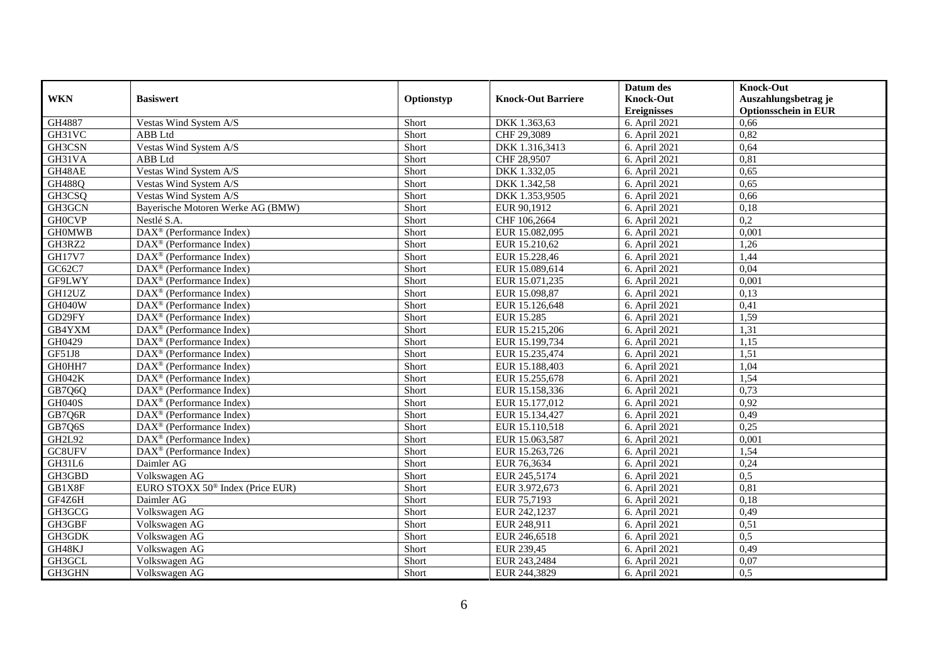|               |                                                               |            |                           | Datum des          | <b>Knock-Out</b>            |
|---------------|---------------------------------------------------------------|------------|---------------------------|--------------------|-----------------------------|
| <b>WKN</b>    | <b>Basiswert</b>                                              | Optionstyp | <b>Knock-Out Barriere</b> | <b>Knock-Out</b>   | Auszahlungsbetrag je        |
|               |                                                               |            |                           | <b>Ereignisses</b> | <b>Optionsschein in EUR</b> |
| GH4887        | Vestas Wind System A/S                                        | Short      | DKK 1.363,63              | 6. April 2021      | 0,66                        |
| GH31VC        | ABB Ltd                                                       | Short      | CHF 29,3089               | 6. April 2021      | 0,82                        |
| GH3CSN        | Vestas Wind System A/S                                        | Short      | DKK 1.316,3413            | 6. April 2021      | 0,64                        |
| GH31VA        | ABB Ltd                                                       | Short      | CHF 28,9507               | 6. April 2021      | 0,81                        |
| GH48AE        | Vestas Wind System A/S                                        | Short      | DKK 1.332,05              | 6. April 2021      | 0,65                        |
| <b>GH488Q</b> | Vestas Wind System A/S                                        | Short      | DKK 1.342,58              | 6. April 2021      | 0,65                        |
| GH3CSQ        | Vestas Wind System A/S                                        | Short      | DKK 1.353,9505            | 6. April 2021      | 0,66                        |
| GH3GCN        | Bayerische Motoren Werke AG (BMW)                             | Short      | EUR 90,1912               | 6. April 2021      | 0,18                        |
| <b>GH0CVP</b> | Nestlé S.A.                                                   | Short      | CHF 106,2664              | 6. April 2021      | 0,2                         |
| <b>GHOMWB</b> | DAX <sup>®</sup> (Performance Index)                          | Short      | EUR 15.082,095            | 6. April 2021      | 0,001                       |
| GH3RZ2        | $\overline{\text{DAX}^{\textcircled{a}}}$ (Performance Index) | Short      | EUR 15.210,62             | 6. April 2021      | 1,26                        |
| <b>GH17V7</b> | DAX <sup>®</sup> (Performance Index)                          | Short      | EUR 15.228,46             | 6. April 2021      | 1,44                        |
| GC62C7        | $\text{DAX}^{\textcircled{n}}$ (Performance Index)            | Short      | EUR 15.089,614            | 6. April 2021      | 0,04                        |
| GF9LWY        | $\text{DAX}^{\textcircled{n}}$ (Performance Index)            | Short      | EUR 15.071,235            | 6. April 2021      | 0,001                       |
| GH12UZ        | DAX <sup>®</sup> (Performance Index)                          | Short      | EUR 15.098,87             | 6. April 2021      | 0,13                        |
| GH040W        | $\overline{\text{DAX}}^{\textcirc}$ (Performance Index)       | Short      | EUR 15.126,648            | 6. April 2021      | 0,41                        |
| GD29FY        | DAX <sup>®</sup> (Performance Index)                          | Short      | <b>EUR 15.285</b>         | 6. April 2021      | 1,59                        |
| GB4YXM        | $\text{DAX}^{\textcircled{n}}$ (Performance Index)            | Short      | EUR 15.215,206            | 6. April 2021      | 1,31                        |
| GH0429        | $\text{DAX}^{\textcircled{p}}$ (Performance Index)            | Short      | EUR 15.199,734            | 6. April 2021      | 1,15                        |
| GF51J8        | $\text{DAX}^{\textcircled{n}}$ (Performance Index)            | Short      | EUR 15.235,474            | 6. April 2021      | 1,51                        |
| GH0HH7        | $\overline{\text{DAX}^{\otimes}}$ (Performance Index)         | Short      | EUR 15.188,403            | 6. April 2021      | 1,04                        |
| GH042K        | DAX <sup>®</sup> (Performance Index)                          | Short      | EUR 15.255,678            | 6. April 2021      | 1,54                        |
| GB7Q6Q        | $\text{DAX}^{\textcircled{D}}$ (Performance Index)            | Short      | EUR 15.158,336            | 6. April 2021      | 0,73                        |
| <b>GH040S</b> | $\overline{\text{DAX}}^{\textcircled{}}$ (Performance Index)  | Short      | EUR 15.177,012            | 6. April 2021      | 0,92                        |
| GB7Q6R        | DAX <sup>®</sup> (Performance Index)                          | Short      | EUR 15.134,427            | 6. April 2021      | 0,49                        |
| GB7Q6S        | DAX <sup>®</sup> (Performance Index)                          | Short      | EUR 15.110,518            | 6. April 2021      | 0,25                        |
| GH2L92        | $\text{DAX}^{\textcircled{p}}$ (Performance Index)            | Short      | EUR 15.063,587            | 6. April 2021      | 0,001                       |
| GC8UFV        | $\text{DAX}^{\circledast}$ (Performance Index)                | Short      | EUR 15.263,726            | 6. April 2021      | 1,54                        |
| GH31L6        | Daimler AG                                                    | Short      | EUR 76,3634               | 6. April 2021      | 0,24                        |
| GH3GBD        | Volkswagen AG                                                 | Short      | EUR 245,5174              | 6. April 2021      | 0,5                         |
| GB1X8F        | EURO STOXX 50 <sup>®</sup> Index (Price EUR)                  | Short      | EUR 3.972,673             | 6. April 2021      | 0,81                        |
| GF4Z6H        | Daimler AG                                                    | Short      | EUR 75,7193               | 6. April 2021      | 0,18                        |
| GH3GCG        | Volkswagen AG                                                 | Short      | EUR 242,1237              | 6. April 2021      | 0,49                        |
| GH3GBF        | Volkswagen AG                                                 | Short      | EUR 248,911               | 6. April 2021      | 0,51                        |
| GH3GDK        | Volkswagen AG                                                 | Short      | EUR 246,6518              | 6. April 2021      | 0,5                         |
| GH48KJ        | Volkswagen AG                                                 | Short      | EUR 239,45                | 6. April 2021      | 0,49                        |
| GH3GCL        | Volkswagen AG                                                 | Short      | EUR 243,2484              | 6. April 2021      | 0,07                        |
| GH3GHN        | Volkswagen AG                                                 | Short      | EUR 244,3829              | 6. April 2021      | 0,5                         |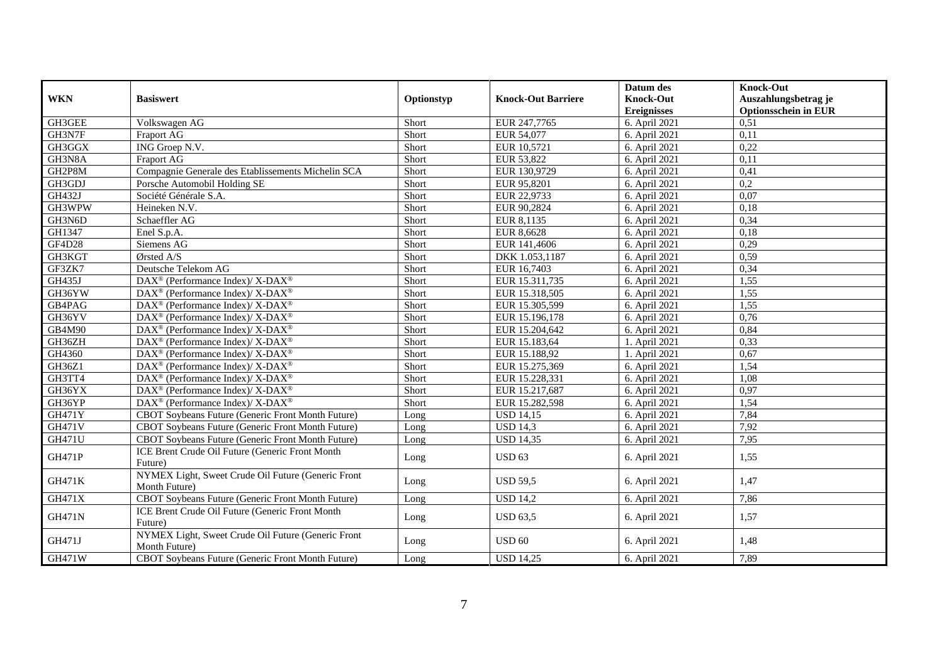| <b>WKN</b>    | <b>Basiswert</b>                                                    | Optionstyp | <b>Knock-Out Barriere</b> | Datum des<br><b>Knock-Out</b><br><b>Ereignisses</b> | <b>Knock-Out</b><br>Auszahlungsbetrag je<br><b>Optionsschein in EUR</b> |
|---------------|---------------------------------------------------------------------|------------|---------------------------|-----------------------------------------------------|-------------------------------------------------------------------------|
| GH3GEE        | Volkswagen AG                                                       | Short      | EUR 247,7765              | 6. April 2021                                       | 0,51                                                                    |
| GH3N7F        | Fraport AG                                                          | Short      | EUR 54,077                | 6. April 2021                                       | 0,11                                                                    |
| GH3GGX        | ING Groep N.V.                                                      | Short      | EUR 10,5721               | 6. April 2021                                       | 0,22                                                                    |
| GH3N8A        | Fraport AG                                                          | Short      | EUR 53,822                | 6. April 2021                                       | 0,11                                                                    |
| GH2P8M        | Compagnie Generale des Etablissements Michelin SCA                  | Short      | EUR 130,9729              | 6. April 2021                                       | 0,41                                                                    |
| GH3GDJ        | Porsche Automobil Holding SE                                        | Short      | EUR 95,8201               | 6. April 2021                                       | 0,2                                                                     |
| GH432J        | Société Générale S.A.                                               | Short      | EUR 22,9733               | 6. April 2021                                       | 0,07                                                                    |
| GH3WPW        | Heineken N.V.                                                       | Short      | EUR 90,2824               | 6. April 2021                                       | 0,18                                                                    |
| GH3N6D        | Schaeffler AG                                                       | Short      | EUR 8,1135                | 6. April 2021                                       | 0,34                                                                    |
| GH1347        | Enel S.p.A.                                                         | Short      | <b>EUR 8,6628</b>         | 6. April 2021                                       | 0,18                                                                    |
| <b>GF4D28</b> | Siemens AG                                                          | Short      | EUR 141,4606              | 6. April 2021                                       | 0,29                                                                    |
| GH3KGT        | Ørsted A/S                                                          | Short      | DKK 1.053,1187            | 6. April 2021                                       | 0,59                                                                    |
| GF3ZK7        | Deutsche Telekom AG                                                 | Short      | EUR 16,7403               | 6. April 2021                                       | 0,34                                                                    |
| GH435J        | DAX <sup>®</sup> (Performance Index)/ X-DAX <sup>®</sup>            | Short      | EUR 15.311,735            | 6. April 2021                                       | 1,55                                                                    |
| GH36YW        | $\text{DAX}^{\circledast}$ (Performance Index)/ X-DAX <sup>®</sup>  | Short      | EUR 15.318,505            | 6. April 2021                                       | 1,55                                                                    |
| GB4PAG        | $DAX^{\circledast}$ (Performance Index)/ X-DAX <sup>®</sup>         | Short      | EUR 15.305,599            | 6. April 2021                                       | 1,55                                                                    |
| GH36YV        | DAX <sup>®</sup> (Performance Index)/X-DAX <sup>®</sup>             | Short      | EUR 15.196,178            | 6. April 2021                                       | 0,76                                                                    |
| GB4M90        | DAX <sup>®</sup> (Performance Index)/ X-DAX <sup>®</sup>            | Short      | EUR 15.204,642            | 6. April 2021                                       | 0,84                                                                    |
| GH36ZH        | DAX <sup>®</sup> (Performance Index)/ X-DAX <sup>®</sup>            | Short      | EUR 15.183,64             | 1. April 2021                                       | 0,33                                                                    |
| GH4360        | $DAX^{\circledast}$ (Performance Index)/ X-DAX <sup>®</sup>         | Short      | EUR 15.188,92             | 1. April 2021                                       | 0,67                                                                    |
| GH36Z1        | $DAX^{\circledast}$ (Performance Index)/ X-DAX <sup>®</sup>         | Short      | EUR 15.275,369            | 6. April 2021                                       | 1,54                                                                    |
| GH3TT4        | $DAX^{\circledast}$ (Performance Index)/ X-DAX <sup>®</sup>         | Short      | EUR 15.228,331            | 6. April 2021                                       | 1,08                                                                    |
| GH36YX        | DAX <sup>®</sup> (Performance Index)/ X-DAX <sup>®</sup>            | Short      | EUR 15.217,687            | 6. April 2021                                       | 0,97                                                                    |
| GH36YP        | $DAX^{\circledcirc}$ (Performance Index)/X-DAX <sup>®</sup>         | Short      | EUR 15.282,598            | 6. April 2021                                       | 1,54                                                                    |
| <b>GH471Y</b> | CBOT Soybeans Future (Generic Front Month Future)                   | Long       | <b>USD 14,15</b>          | 6. April 2021                                       | 7,84                                                                    |
| <b>GH471V</b> | CBOT Soybeans Future (Generic Front Month Future)                   | Long       | <b>USD 14,3</b>           | 6. April 2021                                       | 7,92                                                                    |
| <b>GH471U</b> | CBOT Soybeans Future (Generic Front Month Future)                   | Long       | <b>USD 14,35</b>          | 6. April 2021                                       | 7,95                                                                    |
| <b>GH471P</b> | ICE Brent Crude Oil Future (Generic Front Month<br>Future)          | Long       | <b>USD 63</b>             | 6. April 2021                                       | 1,55                                                                    |
| <b>GH471K</b> | NYMEX Light, Sweet Crude Oil Future (Generic Front<br>Month Future) | Long       | <b>USD 59,5</b>           | 6. April 2021                                       | 1,47                                                                    |
| <b>GH471X</b> | CBOT Soybeans Future (Generic Front Month Future)                   | Long       | $\overline{USD14,2}$      | 6. April 2021                                       | 7,86                                                                    |
| <b>GH471N</b> | <b>ICE Brent Crude Oil Future (Generic Front Month</b><br>Future)   | Long       | <b>USD 63,5</b>           | 6. April 2021                                       | 1,57                                                                    |
| GH471J        | NYMEX Light, Sweet Crude Oil Future (Generic Front<br>Month Future) | Long       | <b>USD 60</b>             | 6. April 2021                                       | 1,48                                                                    |
| <b>GH471W</b> | CBOT Soybeans Future (Generic Front Month Future)                   | Long       | <b>USD 14,25</b>          | 6. April 2021                                       | 7,89                                                                    |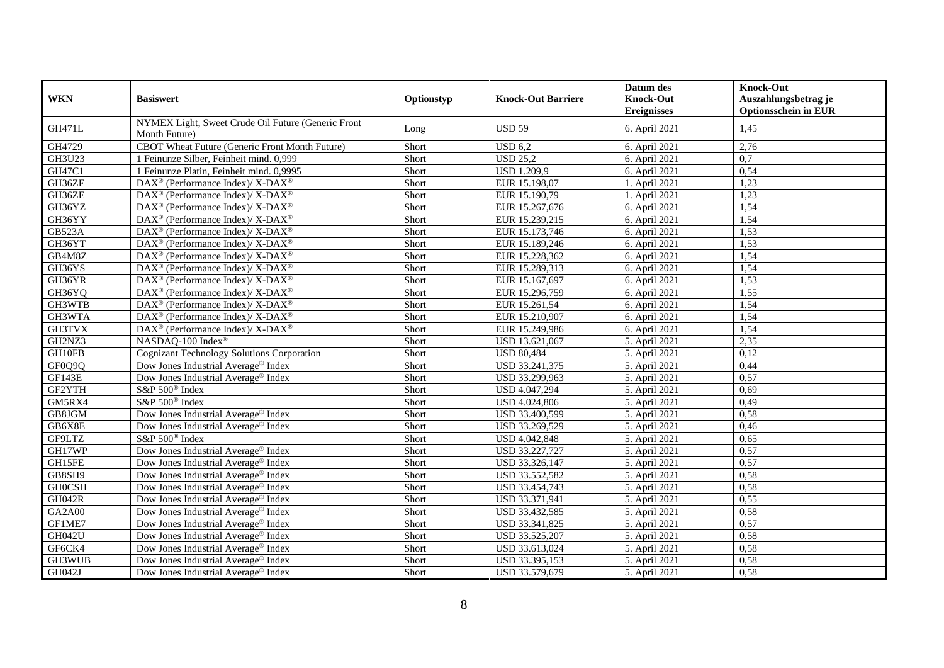|               |                                                          |            |                           | Datum des                              | <b>Knock-Out</b>                                    |
|---------------|----------------------------------------------------------|------------|---------------------------|----------------------------------------|-----------------------------------------------------|
| <b>WKN</b>    | <b>Basiswert</b>                                         | Optionstyp | <b>Knock-Out Barriere</b> | <b>Knock-Out</b><br><b>Ereignisses</b> | Auszahlungsbetrag je<br><b>Optionsschein in EUR</b> |
|               | NYMEX Light, Sweet Crude Oil Future (Generic Front       |            |                           |                                        |                                                     |
| <b>GH471L</b> | Month Future)                                            | Long       | <b>USD 59</b>             | 6. April 2021                          | 1,45                                                |
| GH4729        | CBOT Wheat Future (Generic Front Month Future)           | Short      | USD 6,2                   | 6. April 2021                          | 2,76                                                |
| <b>GH3U23</b> | 1 Feinunze Silber, Feinheit mind. 0,999                  | Short      | <b>USD 25,2</b>           | 6. April 2021                          | $\overline{0.7}$                                    |
| <b>GH47C1</b> | 1 Feinunze Platin, Feinheit mind. 0,9995                 | Short      | <b>USD 1.209,9</b>        | 6. April $20\overline{21}$             | 0,54                                                |
| GH36ZF        | DAX <sup>®</sup> (Performance Index)/ X-DAX <sup>®</sup> | Short      | EUR 15.198,07             | 1. April 2021                          | 1,23                                                |
| GH36ZE        | DAX <sup>®</sup> (Performance Index)/X-DAX <sup>®</sup>  | Short      | EUR 15.190,79             | 1. April 2021                          | 1,23                                                |
| GH36YZ        | DAX <sup>®</sup> (Performance Index)/X-DAX <sup>®</sup>  | Short      | EUR 15.267,676            | 6. April 2021                          | 1,54                                                |
| GH36YY        | DAX <sup>®</sup> (Performance Index)/X-DAX <sup>®</sup>  | Short      | EUR 15.239,215            | 6. April 2021                          | 1,54                                                |
| <b>GB523A</b> | DAX <sup>®</sup> (Performance Index)/X-DAX <sup>®</sup>  | Short      | EUR 15.173,746            | 6. April 2021                          | 1,53                                                |
| GH36YT        | DAX <sup>®</sup> (Performance Index)/ X-DAX <sup>®</sup> | Short      | EUR 15.189,246            | 6. April 2021                          | 1,53                                                |
| GB4M8Z        | DAX <sup>®</sup> (Performance Index)/ X-DAX <sup>®</sup> | Short      | EUR 15.228,362            | 6. April 2021                          | 1,54                                                |
| GH36YS        | DAX <sup>®</sup> (Performance Index)/X-DAX <sup>®</sup>  | Short      | EUR 15.289,313            | 6. April 2021                          | 1,54                                                |
| GH36YR        | DAX <sup>®</sup> (Performance Index)/ X-DAX <sup>®</sup> | Short      | EUR 15.167,697            | 6. April 2021                          | 1,53                                                |
| GH36YQ        | DAX <sup>®</sup> (Performance Index)/X-DAX <sup>®</sup>  | Short      | EUR 15.296,759            | 6. April 2021                          | 1,55                                                |
| GH3WTB        | DAX <sup>®</sup> (Performance Index)/X-DAX <sup>®</sup>  | Short      | EUR 15.261,54             | 6. April 2021                          | 1,54                                                |
| GH3WTA        | DAX <sup>®</sup> (Performance Index)/ X-DAX <sup>®</sup> | Short      | EUR 15.210,907            | 6. April 2021                          | 1,54                                                |
| GH3TVX        | DAX <sup>®</sup> (Performance Index)/ X-DAX <sup>®</sup> | Short      | EUR 15.249,986            | 6. April 2021                          | 1,54                                                |
| GH2NZ3        | NASDAQ-100 Index®                                        | Short      | USD 13.621,067            | 5. April 2021                          | 2,35                                                |
| GH10FB        | <b>Cognizant Technology Solutions Corporation</b>        | Short      | <b>USD 80,484</b>         | 5. April 2021                          | 0,12                                                |
| GF0Q9Q        | Dow Jones Industrial Average <sup>®</sup> Index          | Short      | USD 33.241,375            | 5. April 2021                          | 0,44                                                |
| <b>GF143E</b> | Dow Jones Industrial Average® Index                      | Short      | USD 33.299,963            | 5. April 2021                          | 0,57                                                |
| GF2YTH        | S&P 500 <sup>®</sup> Index                               | Short      | USD 4.047,294             | 5. April 2021                          | 0,69                                                |
| GM5RX4        | S&P 500 <sup>®</sup> Index                               | Short      | USD 4.024,806             | 5. April 2021                          | 0,49                                                |
| GB8JGM        | Dow Jones Industrial Average® Index                      | Short      | USD 33.400,599            | 5. April 2021                          | 0,58                                                |
| GB6X8E        | Dow Jones Industrial Average® Index                      | Short      | USD 33.269,529            | 5. April 2021                          | 0,46                                                |
| GF9LTZ        | S&P 500 <sup>®</sup> Index                               | Short      | USD 4.042,848             | 5. April 2021                          | 0.65                                                |
| GH17WP        | Dow Jones Industrial Average <sup>®</sup> Index          | Short      | USD 33.227,727            | 5. April 2021                          | 0,57                                                |
| GH15FE        | Dow Jones Industrial Average® Index                      | Short      | USD 33.326,147            | 5. April 2021                          | 0,57                                                |
| GB8SH9        | Dow Jones Industrial Average® Index                      | Short      | USD 33.552,582            | 5. April 2021                          | 0,58                                                |
| <b>GHOCSH</b> | Dow Jones Industrial Average <sup>®</sup> Index          | Short      | USD 33.454,743            | 5. April 2021                          | 0,58                                                |
| <b>GH042R</b> | Dow Jones Industrial Average® Index                      | Short      | USD 33.371,941            | 5. April 2021                          | 0,55                                                |
| <b>GA2A00</b> | Dow Jones Industrial Average <sup>®</sup> Index          | Short      | USD 33.432,585            | 5. April 2021                          | 0,58                                                |
| GF1ME7        | Dow Jones Industrial Average® Index                      | Short      | USD 33.341,825            | 5. April 2021                          | 0,57                                                |
| <b>GH042U</b> | Dow Jones Industrial Average® Index                      | Short      | USD 33.525,207            | 5. April 2021                          | 0,58                                                |
| GF6CK4        | Dow Jones Industrial Average <sup>®</sup> Index          | Short      | USD 33.613,024            | 5. April 2021                          | 0,58                                                |
| GH3WUB        | Dow Jones Industrial Average® Index                      | Short      | USD 33.395,153            | 5. April 2021                          | 0,58                                                |
| GH042J        | Dow Jones Industrial Average <sup>®</sup> Index          | Short      | USD 33.579,679            | 5. April 2021                          | 0,58                                                |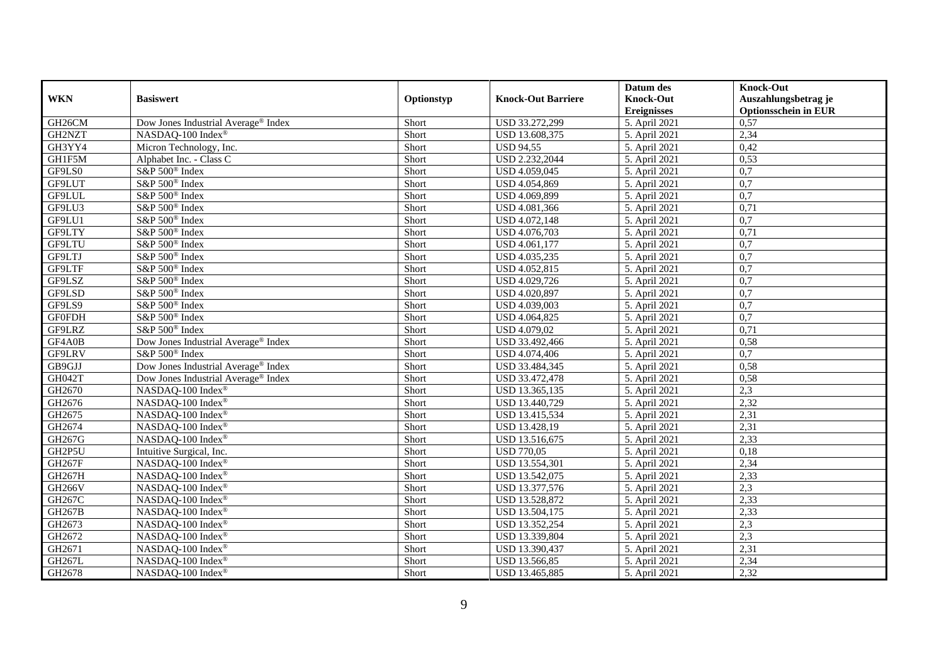|               |                                                 |            |                           | Datum des          | <b>Knock-Out</b>            |
|---------------|-------------------------------------------------|------------|---------------------------|--------------------|-----------------------------|
| <b>WKN</b>    | <b>Basiswert</b>                                | Optionstyp | <b>Knock-Out Barriere</b> | <b>Knock-Out</b>   | Auszahlungsbetrag je        |
|               |                                                 |            |                           | <b>Ereignisses</b> | <b>Optionsschein in EUR</b> |
| GH26CM        | Dow Jones Industrial Average® Index             | Short      | USD 33.272,299            | 5. April 2021      | 0,57                        |
| GH2NZT        | NASDAQ-100 Index®                               | Short      | USD 13.608,375            | 5. April 2021      | 2,34                        |
| GH3YY4        | Micron Technology, Inc.                         | Short      | <b>USD 94,55</b>          | 5. April 2021      | 0,42                        |
| GH1F5M        | Alphabet Inc. - Class C                         | Short      | USD 2.232,2044            | 5. April 2021      | 0,53                        |
| GF9LS0        | S&P 500 <sup>®</sup> Index                      | Short      | USD 4.059,045             | 5. April 2021      | 0,7                         |
| GF9LUT        | S&P 500 <sup>®</sup> Index                      | Short      | USD 4.054,869             | 5. April 2021      | 0,7                         |
| GF9LUL        | $S\&P 500^{\circ}$ Index                        | Short      | USD 4.069,899             | 5. April 2021      | 0,7                         |
| GF9LU3        | S&P 500 <sup>®</sup> Index                      | Short      | USD 4.081,366             | 5. April 2021      | 0,71                        |
| GF9LU1        | S&P 500 <sup>®</sup> Index                      | Short      | USD 4.072,148             | 5. April 2021      | $\overline{0,7}$            |
| GF9LTY        | S&P 500 <sup>®</sup> Index                      | Short      | USD 4.076,703             | 5. April 2021      | 0,71                        |
| GF9LTU        | S&P 500 <sup>®</sup> Index                      | Short      | USD 4.061,177             | 5. April 2021      | $\overline{0,7}$            |
| GF9LTJ        | S&P 500 <sup>®</sup> Index                      | Short      | USD 4.035,235             | 5. April 2021      | 0,7                         |
| GF9LTF        | S&P 500 <sup>®</sup> Index                      | Short      | USD 4.052,815             | 5. April 2021      | $\overline{0,7}$            |
| GF9LSZ        | S&P 500 <sup>®</sup> Index                      | Short      | USD 4.029,726             | 5. April 2021      | 0,7                         |
| GF9LSD        | S&P 500 <sup>®</sup> Index                      | Short      | USD 4.020,897             | 5. April 2021      | 0,7                         |
| GF9LS9        | S&P 500 <sup>®</sup> Index                      | Short      | USD 4.039,003             | 5. April 2021      | 0,7                         |
| <b>GF0FDH</b> | S&P 500 <sup>®</sup> Index                      | Short      | USD 4.064,825             | 5. April 2021      | 0,7                         |
| GF9LRZ        | $S\&P 500^{\circ}$ Index                        | Short      | USD 4.079,02              | 5. April 2021      | 0,71                        |
| GF4A0B        | Dow Jones Industrial Average® Index             | Short      | USD 33.492,466            | 5. April 2021      | 0,58                        |
| GF9LRV        | S&P 500 <sup>®</sup> Index                      | Short      | USD 4.074,406             | 5. April 2021      | 0,7                         |
| GB9GJJ        | Dow Jones Industrial Average <sup>®</sup> Index | Short      | USD 33.484,345            | 5. April 2021      | 0,58                        |
| GH042T        | Dow Jones Industrial Average® Index             | Short      | USD 33.472,478            | 5. April 2021      | 0,58                        |
| GH2670        | NASDAQ-100 Index®                               | Short      | USD 13.365,135            | 5. April 2021      | $\overline{2,3}$            |
| GH2676        | NASDAQ-100 Index®                               | Short      | USD 13.440,729            | 5. April 2021      | 2,32                        |
| GH2675        | NASDAQ-100 Index®                               | Short      | USD 13.415,534            | 5. April 2021      | 2,31                        |
| GH2674        | NASDAQ-100 Index®                               | Short      | USD 13.428,19             | 5. April 2021      | 2,31                        |
| GH267G        | NASDAQ-100 Index®                               | Short      | USD 13.516,675            | 5. April 2021      | 2,33                        |
| GH2P5U        | Intuitive Surgical, Inc.                        | Short      | <b>USD 770,05</b>         | 5. April 2021      | 0,18                        |
| <b>GH267F</b> | NASDAQ-100 Index®                               | Short      | USD 13.554,301            | 5. April 2021      | 2,34                        |
| GH267H        | NASDAQ-100 Index®                               | Short      | USD 13.542,075            | 5. April 2021      | 2,33                        |
| <b>GH266V</b> | NASDAQ-100 Index®                               | Short      | USD 13.377,576            | 5. April 2021      | 2,3                         |
| GH267C        | NASDAQ-100 Index®                               | Short      | USD 13.528,872            | 5. April 2021      | 2,33                        |
| GH267B        | NASDAQ-100 Index®                               | Short      | USD 13.504,175            | 5. April 2021      | 2,33                        |
| GH2673        | NASDAQ-100 Index®                               | Short      | USD 13.352,254            | 5. April 2021      | 2,3                         |
| GH2672        | NASDAQ-100 Index®                               | Short      | USD 13.339,804            | 5. April 2021      | 2,3                         |
| GH2671        | NASDAQ-100 Index®                               | Short      | USD 13.390,437            | 5. April 2021      | 2,31                        |
| GH267L        | NASDAQ-100 Index®                               | Short      | USD 13.566,85             | 5. April 2021      | 2,34                        |
| GH2678        | NASDAQ-100 Index®                               | Short      | USD 13.465,885            | 5. April 2021      | 2,32                        |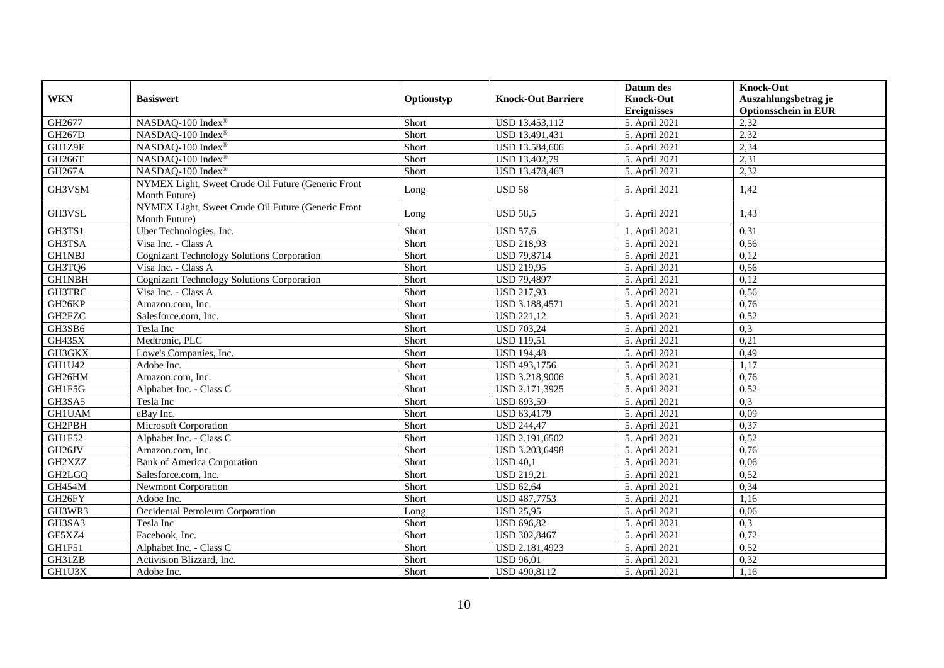|               |                                                                     |            |                           | Datum des          | Knock-Out                   |
|---------------|---------------------------------------------------------------------|------------|---------------------------|--------------------|-----------------------------|
| <b>WKN</b>    | <b>Basiswert</b>                                                    | Optionstyp | <b>Knock-Out Barriere</b> | <b>Knock-Out</b>   | Auszahlungsbetrag je        |
|               |                                                                     |            |                           | <b>Ereignisses</b> | <b>Optionsschein in EUR</b> |
| GH2677        | NASDAQ-100 Index®                                                   | Short      | USD 13.453,112            | 5. April 2021      | 2,32                        |
| GH267D        | NASDAQ-100 Index®                                                   | Short      | USD 13.491,431            | 5. April 2021      | 2,32                        |
| GH1Z9F        | NASDAQ-100 Index®                                                   | Short      | USD 13.584,606            | 5. April 2021      | 2,34                        |
| GH266T        | NASDAQ-100 Index®                                                   | Short      | USD 13.402,79             | 5. April 2021      | 2,31                        |
| GH267A        | NASDAQ-100 Index®                                                   | Short      | USD 13.478,463            | 5. April 2021      | 2,32                        |
| GH3VSM        | NYMEX Light, Sweet Crude Oil Future (Generic Front<br>Month Future) | Long       | <b>USD 58</b>             | 5. April 2021      | 1,42                        |
| GH3VSL        | NYMEX Light, Sweet Crude Oil Future (Generic Front<br>Month Future) | Long       | <b>USD 58,5</b>           | 5. April 2021      | 1,43                        |
| GH3TS1        | Uber Technologies, Inc.                                             | Short      | <b>USD 57,6</b>           | 1. April 2021      | 0,31                        |
| GH3TSA        | Visa Inc. - Class A                                                 | Short      | <b>USD 218,93</b>         | 5. April 2021      | 0,56                        |
| <b>GH1NBJ</b> | <b>Cognizant Technology Solutions Corporation</b>                   | Short      | <b>USD 79,8714</b>        | 5. April 2021      | 0,12                        |
| GH3TQ6        | Visa Inc. - Class A                                                 | Short      | <b>USD 219,95</b>         | 5. April 2021      | 0,56                        |
| <b>GH1NBH</b> | <b>Cognizant Technology Solutions Corporation</b>                   | Short      | <b>USD 79,4897</b>        | 5. April 2021      | 0,12                        |
| GH3TRC        | Visa Inc. - Class A                                                 | Short      | <b>USD 217,93</b>         | 5. April 2021      | 0,56                        |
| GH26KP        | Amazon.com, Inc.                                                    | Short      | USD 3.188,4571            | 5. April 2021      | 0,76                        |
| GH2FZC        | Salesforce.com, Inc.                                                | Short      | <b>USD 221,12</b>         | 5. April 2021      | 0,52                        |
| GH3SB6        | Tesla Inc                                                           | Short      | <b>USD 703,24</b>         | 5. April 2021      | 0,3                         |
| <b>GH435X</b> | Medtronic, PLC                                                      | Short      | <b>USD 119,51</b>         | 5. April 2021      | 0,21                        |
| GH3GKX        | Lowe's Companies, Inc.                                              | Short      | <b>USD 194,48</b>         | 5. April 2021      | 0,49                        |
| GH1U42        | Adobe Inc.                                                          | Short      | USD 493,1756              | 5. April 2021      | 1,17                        |
| GH26HM        | Amazon.com, Inc.                                                    | Short      | USD 3.218,9006            | 5. April 2021      | 0,76                        |
| GH1F5G        | Alphabet Inc. - Class C                                             | Short      | USD 2.171.3925            | 5. April 2021      | 0,52                        |
| GH3SA5        | Tesla Inc                                                           | Short      | <b>USD 693,59</b>         | 5. April 2021      | 0,3                         |
| GH1UAM        | eBay Inc.                                                           | Short      | <b>USD 63,4179</b>        | 5. April 2021      | 0,09                        |
| GH2PBH        | Microsoft Corporation                                               | Short      | <b>USD 244,47</b>         | 5. April 2021      | 0,37                        |
| GH1F52        | Alphabet Inc. - Class C                                             | Short      | USD 2.191,6502            | 5. April 2021      | 0,52                        |
| GH26JV        | Amazon.com. Inc.                                                    | Short      | USD 3.203,6498            | 5. April 2021      | 0,76                        |
| GH2XZZ        | <b>Bank of America Corporation</b>                                  | Short      | <b>USD 40,1</b>           | 5. April 2021      | 0,06                        |
| <b>GH2LGQ</b> | Salesforce.com. Inc.                                                | Short      | <b>USD 219,21</b>         | 5. April 2021      | 0,52                        |
| GH454M        | Newmont Corporation                                                 | Short      | <b>USD 62,64</b>          | 5. April 2021      | 0,34                        |
| GH26FY        | Adobe Inc.                                                          | Short      | USD 487,7753              | 5. April 2021      | 1,16                        |
| GH3WR3        | Occidental Petroleum Corporation                                    | Long       | <b>USD 25,95</b>          | 5. April 2021      | 0,06                        |
| GH3SA3        | Tesla Inc                                                           | Short      | <b>USD 696,82</b>         | 5. April 2021      | 0,3                         |
| GF5XZ4        | Facebook, Inc.                                                      | Short      | USD 302,8467              | 5. April 2021      | 0,72                        |
| GH1F51        | Alphabet Inc. - Class C                                             | Short      | USD 2.181,4923            | 5. April 2021      | 0,52                        |
| GH31ZB        | Activision Blizzard, Inc.                                           | Short      | <b>USD 96,01</b>          | 5. April 2021      | 0,32                        |
| GH1U3X        | Adobe Inc.                                                          | Short      | USD 490,8112              | 5. April 2021      | 1,16                        |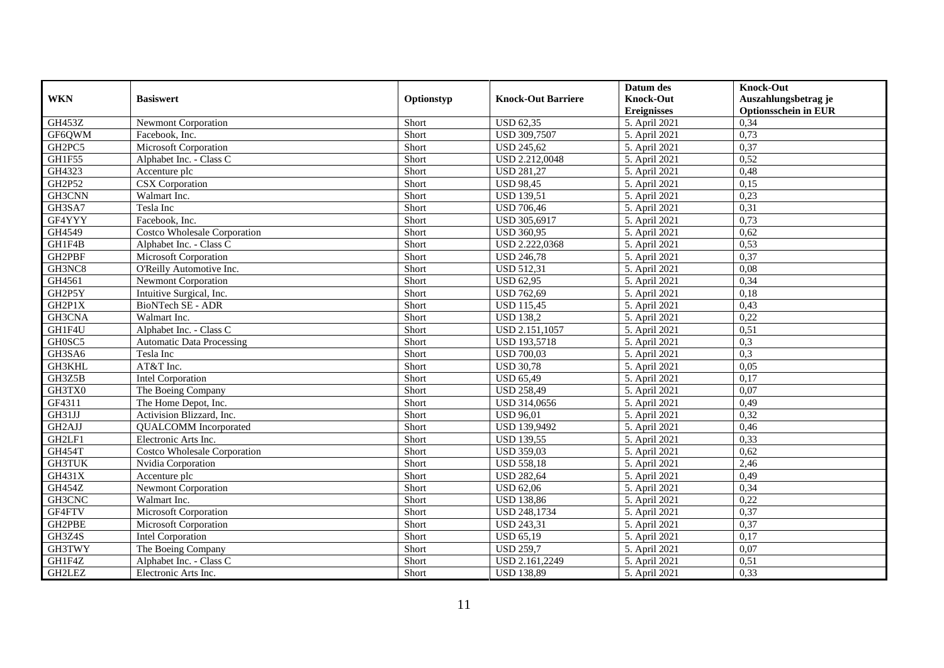|                                 |                                     |            |                           | Datum des                   | <b>Knock-Out</b>            |
|---------------------------------|-------------------------------------|------------|---------------------------|-----------------------------|-----------------------------|
| <b>WKN</b>                      | <b>Basiswert</b>                    | Optionstyp | <b>Knock-Out Barriere</b> | <b>Knock-Out</b>            | Auszahlungsbetrag je        |
|                                 |                                     |            |                           | <b>Ereignisses</b>          | <b>Optionsschein in EUR</b> |
| <b>GH453Z</b>                   | <b>Newmont Corporation</b>          | Short      | <b>USD 62,35</b>          | 5. April 2021               | 0,34                        |
| GF6OWM                          | Facebook, Inc.                      | Short      | <b>USD 309,7507</b>       | 5. April 2021               | 0,73                        |
| GH <sub>2</sub> PC <sub>5</sub> | Microsoft Corporation               | Short      | <b>USD 245,62</b>         | 5. April 2021               | 0,37                        |
| GH1F55                          | Alphabet Inc. - Class C             | Short      | USD 2.212,0048            | 5. April 2021               | 0,52                        |
| GH4323                          | Accenture plc                       | Short      | <b>USD 281,27</b>         | 5. April 2021               | 0,48                        |
| GH2P52                          | <b>CSX</b> Corporation              | Short      | <b>USD 98,45</b>          | 5. April 2021               | 0,15                        |
| GH3CNN                          | Walmart Inc.                        | Short      | <b>USD 139,51</b>         | 5. April 2021               | 0,23                        |
| GH3SA7                          | Tesla Inc                           | Short      | <b>USD 706,46</b>         | 5. April 2021               | 0,31                        |
| GF4YYY                          | Facebook, Inc.                      | Short      | USD 305,6917              | 5. April 2021               | 0,73                        |
| GH4549                          | <b>Costco Wholesale Corporation</b> | Short      | <b>USD 360,95</b>         | 5. April 2021               | 0,62                        |
| GH1F4B                          | Alphabet Inc. - Class C             | Short      | USD 2.222,0368            | 5. April 2021               | 0,53                        |
| GH2PBF                          | Microsoft Corporation               | Short      | <b>USD 246,78</b>         | 5. April 2021               | 0,37                        |
| GH3NC8                          | O'Reilly Automotive Inc.            | Short      | <b>USD 512,31</b>         | 5. April 2021               | 0,08                        |
| GH4561                          | <b>Newmont Corporation</b>          | Short      | <b>USD 62,95</b>          | 5. April 2021               | 0,34                        |
| GH2P5Y                          | Intuitive Surgical, Inc.            | Short      | <b>USD 762,69</b>         | 5. April 2021               | 0,18                        |
| GH2P1X                          | BioNTech SE - ADR                   | Short      | <b>USD 115,45</b>         | 5. April 2021               | 0,43                        |
| GH3CNA                          | Walmart Inc.                        | Short      | <b>USD 138,2</b>          | 5. April 2021               | 0,22                        |
| GH1F4U                          | Alphabet Inc. - Class C             | Short      | USD 2.151,1057            | 5. April 2021               | 0,51                        |
| GH0SC5                          | <b>Automatic Data Processing</b>    | Short      | <b>USD 193,5718</b>       | 5. April 2021               | 0,3                         |
| GH3SA6                          | Tesla Inc                           | Short      | <b>USD 700,03</b>         | 5. April 2021               | 0,3                         |
| GH3KHL                          | AT&T Inc.                           | Short      | <b>USD 30,78</b>          | 5. April 2021               | 0.05                        |
| GH3Z5B                          | Intel Corporation                   | Short      | <b>USD 65,49</b>          | 5. April 2021               | 0,17                        |
| GH3TX0                          | The Boeing Company                  | Short      | <b>USD 258,49</b>         | 5. April 2021               | 0,07                        |
| GF4311                          | The Home Depot, Inc.                | Short      | USD 314,0656              | 5. April 2021               | 0,49                        |
| GH31JJ                          | Activision Blizzard, Inc.           | Short      | <b>USD 96,01</b>          | 5. April 2021               | 0,32                        |
| GH2AJJ                          | <b>QUALCOMM</b> Incorporated        | Short      | USD 139,9492              | 5. April 2021               | 0,46                        |
| GH2LF1                          | Electronic Arts Inc.                | Short      | <b>USD 139,55</b>         | 5. April 2021               | 0,33                        |
| <b>GH454T</b>                   | <b>Costco Wholesale Corporation</b> | Short      | <b>USD 359,03</b>         | 5. April 2021               | 0,62                        |
| <b>GH3TUK</b>                   | Nvidia Corporation                  | Short      | <b>USD 558,18</b>         | 5. April 2021               | 2,46                        |
| GH431X                          | Accenture plc                       | Short      | <b>USD 282,64</b>         | 5. April 2021               | 0,49                        |
| <b>GH454Z</b>                   | <b>Newmont Corporation</b>          | Short      | <b>USD 62,06</b>          | 5. April 2021               | 0,34                        |
| GH3CNC                          | Walmart Inc.                        | Short      | <b>USD 138,86</b>         | 5. April 2021               | 0,22                        |
| GF4FTV                          | Microsoft Corporation               | Short      | USD 248,1734              | 5. April 2021               | 0,37                        |
| GH2PBE                          | Microsoft Corporation               | Short      | <b>USD 243,31</b>         | $\overline{5}$ . April 2021 | 0,37                        |
| GH3Z4S                          | Intel Corporation                   | Short      | <b>USD 65,19</b>          | 5. April 2021               | 0,17                        |
| GH3TWY                          | The Boeing Company                  | Short      | <b>USD 259,7</b>          | 5. April 2021               | 0,07                        |
| GH1F4Z                          | Alphabet Inc. - Class C             | Short      | USD 2.161,2249            | 5. April 2021               | 0,51                        |
| GH2LEZ                          | Electronic Arts Inc.                | Short      | <b>USD 138,89</b>         | 5. April 2021               | 0,33                        |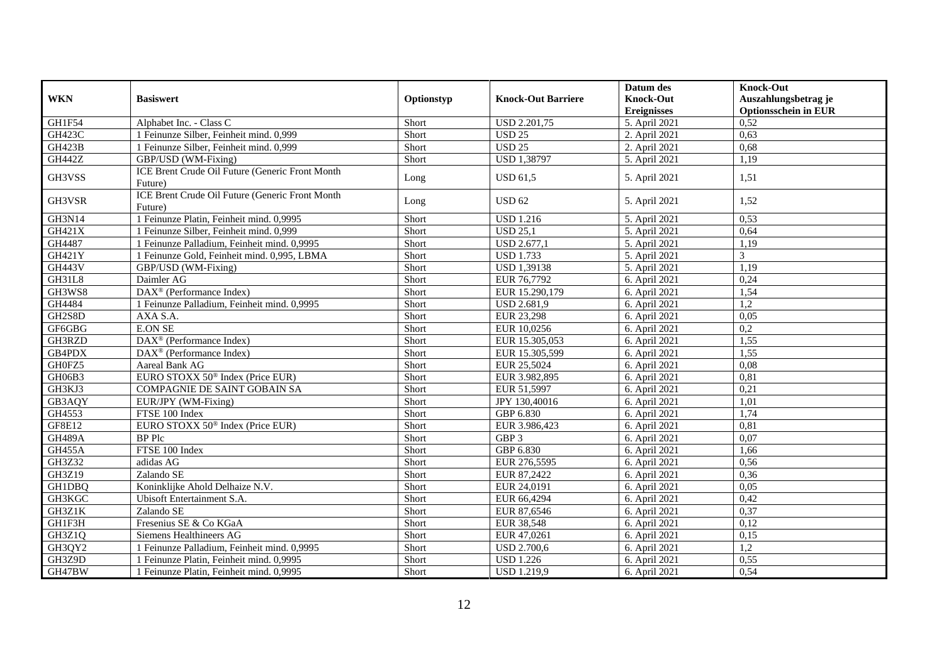| <b>WKN</b>    | <b>Basiswert</b>                                           | Optionstyp | <b>Knock-Out Barriere</b> | Datum des<br><b>Knock-Out</b><br><b>Ereignisses</b> | <b>Knock-Out</b><br>Auszahlungsbetrag je<br><b>Optionsschein in EUR</b> |
|---------------|------------------------------------------------------------|------------|---------------------------|-----------------------------------------------------|-------------------------------------------------------------------------|
| GH1F54        | Alphabet Inc. - Class C                                    | Short      | <b>USD 2.201,75</b>       | 5. April 2021                                       | 0,52                                                                    |
| GH423C        | 1 Feinunze Silber, Feinheit mind. 0,999                    | Short      | <b>USD 25</b>             | 2. April 2021                                       | 0,63                                                                    |
| <b>GH423B</b> | 1 Feinunze Silber, Feinheit mind. 0.999                    | Short      | <b>USD 25</b>             | 2. April 2021                                       | 0,68                                                                    |
| <b>GH442Z</b> | GBP/USD (WM-Fixing)                                        | Short      | <b>USD 1,38797</b>        | 5. April 2021                                       | 1,19                                                                    |
| GH3VSS        | ICE Brent Crude Oil Future (Generic Front Month<br>Future) | Long       | <b>USD 61,5</b>           | 5. April 2021                                       | 1,51                                                                    |
| GH3VSR        | ICE Brent Crude Oil Future (Generic Front Month<br>Future) | Long       | <b>USD 62</b>             | 5. April 2021                                       | 1,52                                                                    |
| <b>GH3N14</b> | 1 Feinunze Platin, Feinheit mind. 0,9995                   | Short      | <b>USD 1.216</b>          | 5. April 2021                                       | 0,53                                                                    |
| GH421X        | 1 Feinunze Silber, Feinheit mind. 0,999                    | Short      | $\overline{USD 25,1}$     | 5. April 2021                                       | 0,64                                                                    |
| GH4487        | 1 Feinunze Palladium, Feinheit mind. 0,9995                | Short      | <b>USD 2.677,1</b>        | 5. April 2021                                       | 1,19                                                                    |
| <b>GH421Y</b> | 1 Feinunze Gold, Feinheit mind. 0,995, LBMA                | Short      | <b>USD 1.733</b>          | 5. April 2021                                       | 3                                                                       |
| <b>GH443V</b> | GBP/USD (WM-Fixing)                                        | Short      | <b>USD 1,39138</b>        | 5. April 2021                                       | 1,19                                                                    |
| <b>GH31L8</b> | Daimler AG                                                 | Short      | EUR 76,7792               | 6. April 2021                                       | 0,24                                                                    |
| GH3WS8        | $\text{DAX}^{\textcircled{D}}$ (Performance Index)         | Short      | EUR 15.290.179            | 6. April 2021                                       | 1.54                                                                    |
| GH4484        | 1 Feinunze Palladium, Feinheit mind. 0,9995                | Short      | <b>USD 2.681,9</b>        | 6. April 2021                                       | 1,2                                                                     |
| GH2S8D        | AXA S.A.                                                   | Short      | EUR 23,298                | 6. April 2021                                       | 0,05                                                                    |
| GF6GBG        | <b>E.ON SE</b>                                             | Short      | EUR 10,0256               | 6. April 2021                                       | 0,2                                                                     |
| GH3RZD        | DAX <sup>®</sup> (Performance Index)                       | Short      | EUR 15.305,053            | 6. April 2021                                       | 1,55                                                                    |
| GB4PDX        | DAX <sup>®</sup> (Performance Index)                       | Short      | EUR 15.305,599            | 6. April 2021                                       | 1,55                                                                    |
| GH0FZ5        | Aareal Bank AG                                             | Short      | EUR 25,5024               | 6. April 2021                                       | 0.08                                                                    |
| GH06B3        | EURO STOXX 50 <sup>®</sup> Index (Price EUR)               | Short      | EUR 3.982,895             | 6. April 2021                                       | 0,81                                                                    |
| GH3KJ3        | <b>COMPAGNIE DE SAINT GOBAIN SA</b>                        | Short      | EUR 51,5997               | 6. April 2021                                       | 0,21                                                                    |
| GB3AQY        | EUR/JPY (WM-Fixing)                                        | Short      | JPY 130,40016             | 6. April 2021                                       | 1,01                                                                    |
| GH4553        | FTSE 100 Index                                             | Short      | GBP 6.830                 | 6. April 2021                                       | 1,74                                                                    |
| GF8E12        | EURO STOXX 50 <sup>®</sup> Index (Price EUR)               | Short      | EUR 3.986,423             | 6. April 2021                                       | 0,81                                                                    |
| <b>GH489A</b> | <b>BP</b> Plc                                              | Short      | GBP 3                     | 6. April 2021                                       | 0,07                                                                    |
| GH455A        | FTSE 100 Index                                             | Short      | GBP 6.830                 | 6. April 2021                                       | 1,66                                                                    |
| GH3Z32        | adidas AG                                                  | Short      | EUR 276,5595              | 6. April 2021                                       | 0,56                                                                    |
| GH3Z19        | Zalando SE                                                 | Short      | EUR 87,2422               | 6. April 2021                                       | 0,36                                                                    |
| GH1DBQ        | Koninklijke Ahold Delhaize N.V.                            | Short      | EUR 24,0191               | 6. April 2021                                       | 0,05                                                                    |
| GH3KGC        | Ubisoft Entertainment S.A.                                 | Short      | EUR 66,4294               | 6. April 2021                                       | 0,42                                                                    |
| GH3Z1K        | Zalando SE                                                 | Short      | EUR 87,6546               | 6. April 2021                                       | 0,37                                                                    |
| GH1F3H        | Fresenius SE & Co KGaA                                     | Short      | <b>EUR 38,548</b>         | 6. April 2021                                       | 0,12                                                                    |
| GH3Z1Q        | Siemens Healthineers AG                                    | Short      | EUR 47,0261               | 6. April 2021                                       | 0,15                                                                    |
| GH3QY2        | 1 Feinunze Palladium, Feinheit mind. 0,9995                | Short      | <b>USD 2.700,6</b>        | 6. April 2021                                       | 1,2                                                                     |
| GH3Z9D        | 1 Feinunze Platin, Feinheit mind. 0,9995                   | Short      | <b>USD 1.226</b>          | 6. April 2021                                       | 0,55                                                                    |
| GH47BW        | 1 Feinunze Platin, Feinheit mind. 0,9995                   | Short      | <b>USD 1.219,9</b>        | 6. April 2021                                       | 0,54                                                                    |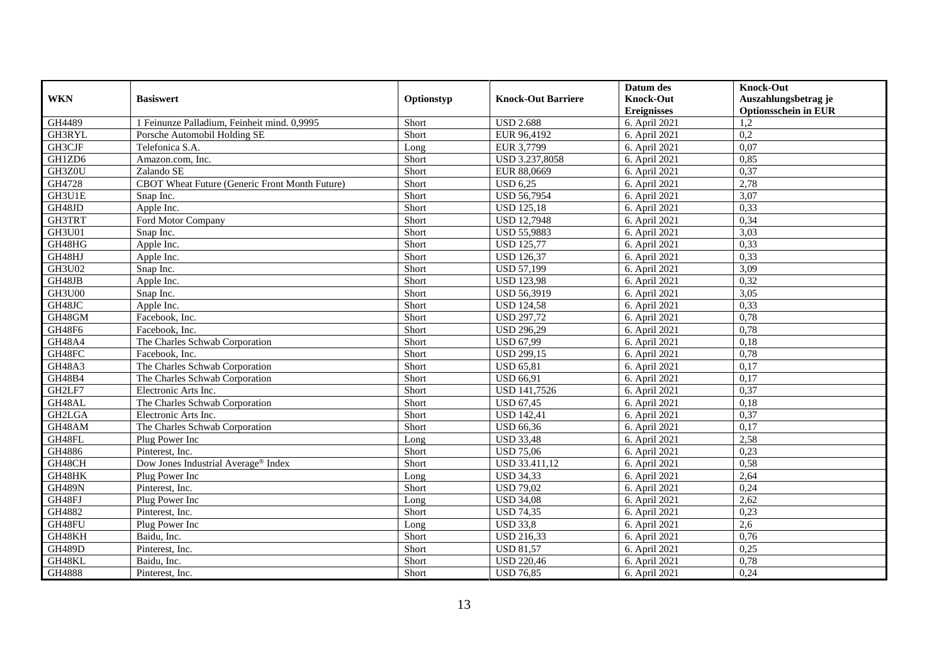|               |                                                |            |                           | Datum des          | <b>Knock-Out</b>            |
|---------------|------------------------------------------------|------------|---------------------------|--------------------|-----------------------------|
| <b>WKN</b>    | <b>Basiswert</b>                               | Optionstyp | <b>Knock-Out Barriere</b> | <b>Knock-Out</b>   | Auszahlungsbetrag je        |
|               |                                                |            |                           | <b>Ereignisses</b> | <b>Optionsschein in EUR</b> |
| GH4489        | 1 Feinunze Palladium, Feinheit mind. 0,9995    | Short      | <b>USD 2.688</b>          | 6. April 2021      | 1,2                         |
| GH3RYL        | Porsche Automobil Holding SE                   | Short      | EUR 96,4192               | 6. April 2021      | $\overline{0,2}$            |
| GH3CJF        | Telefonica S.A.                                | Long       | EUR 3,7799                | 6. April 2021      | 0,07                        |
| GH1ZD6        | Amazon.com, Inc.                               | Short      | USD 3.237,8058            | 6. April 2021      | 0,85                        |
| GH3Z0U        | Zalando SE                                     | Short      | EUR 88,0669               | 6. April 2021      | 0,37                        |
| GH4728        | CBOT Wheat Future (Generic Front Month Future) | Short      | <b>USD 6,25</b>           | 6. April 2021      | 2,78                        |
| GH3U1E        | Snap Inc.                                      | Short      | <b>USD 56,7954</b>        | 6. April 2021      | 3,07                        |
| GH48JD        | Apple Inc.                                     | Short      | <b>USD 125,18</b>         | 6. April 2021      | 0,33                        |
| GH3TRT        | Ford Motor Company                             | Short      | <b>USD 12,7948</b>        | 6. April 2021      | 0,34                        |
| GH3U01        | Snap Inc.                                      | Short      | <b>USD 55,9883</b>        | 6. April 2021      | 3,03                        |
| GH48HG        | Apple Inc.                                     | Short      | <b>USD 125,77</b>         | 6. April 2021      | 0,33                        |
| GH48HJ        | Apple Inc.                                     | Short      | <b>USD 126,37</b>         | 6. April 2021      | 0,33                        |
| <b>GH3U02</b> | Snap Inc.                                      | Short      | <b>USD 57,199</b>         | 6. April 2021      | 3,09                        |
| GH48JB        | Apple Inc.                                     | Short      | <b>USD 123,98</b>         | 6. April 2021      | 0,32                        |
| <b>GH3U00</b> | Snap Inc.                                      | Short      | USD 56,3919               | 6. April 2021      | 3,05                        |
| GH48JC        | Apple Inc.                                     | Short      | <b>USD 124,58</b>         | 6. April 2021      | 0,33                        |
| GH48GM        | Facebook, Inc.                                 | Short      | <b>USD 297,72</b>         | 6. April 2021      | 0,78                        |
| GH48F6        | Facebook. Inc.                                 | Short      | <b>USD 296,29</b>         | 6. April 2021      | 0,78                        |
| <b>GH48A4</b> | The Charles Schwab Corporation                 | Short      | <b>USD 67,99</b>          | 6. April 2021      | 0,18                        |
| GH48FC        | Facebook, Inc.                                 | Short      | <b>USD 299,15</b>         | 6. April 2021      | 0,78                        |
| GH48A3        | The Charles Schwab Corporation                 | Short      | <b>USD 65,81</b>          | 6. April 2021      | 0,17                        |
| GH48B4        | The Charles Schwab Corporation                 | Short      | <b>USD 66,91</b>          | 6. April 2021      | 0,17                        |
| GH2LF7        | Electronic Arts Inc.                           | Short      | USD 141,7526              | 6. April 2021      | 0,37                        |
| GH48AL        | The Charles Schwab Corporation                 | Short      | <b>USD 67,45</b>          | 6. April 2021      | 0,18                        |
| GH2LGA        | Electronic Arts Inc.                           | Short      | <b>USD 142,41</b>         | 6. April 2021      | 0,37                        |
| GH48AM        | The Charles Schwab Corporation                 | Short      | <b>USD 66,36</b>          | 6. April 2021      | 0,17                        |
| GH48FL        | Plug Power Inc                                 | Long       | <b>USD 33,48</b>          | 6. April 2021      | 2,58                        |
| GH4886        | Pinterest, Inc.                                | Short      | <b>USD 75,06</b>          | 6. April 2021      | 0,23                        |
| GH48CH        | Dow Jones Industrial Average® Index            | Short      | USD 33.411,12             | 6. April 2021      | 0,58                        |
| GH48HK        | Plug Power Inc                                 | Long       | <b>USD 34,33</b>          | 6. April 2021      | 2,64                        |
| <b>GH489N</b> | Pinterest, Inc.                                | Short      | <b>USD 79,02</b>          | 6. April 2021      | 0,24                        |
| GH48FJ        | Plug Power Inc                                 | Long       | <b>USD 34,08</b>          | 6. April 2021      | 2,62                        |
| GH4882        | Pinterest, Inc.                                | Short      | <b>USD 74,35</b>          | 6. April 2021      | 0,23                        |
| GH48FU        | Plug Power Inc                                 | Long       | <b>USD 33,8</b>           | 6. April 2021      | 2,6                         |
| GH48KH        | Baidu, Inc.                                    | Short      | <b>USD 216,33</b>         | 6. April 2021      | 0,76                        |
| <b>GH489D</b> | Pinterest, Inc.                                | Short      | <b>USD 81,57</b>          | 6. April 2021      | 0,25                        |
| GH48KL        | Baidu, Inc.                                    | Short      | <b>USD 220,46</b>         | 6. April 2021      | 0,78                        |
| GH4888        | Pinterest, Inc.                                | Short      | <b>USD 76,85</b>          | 6. April 2021      | 0,24                        |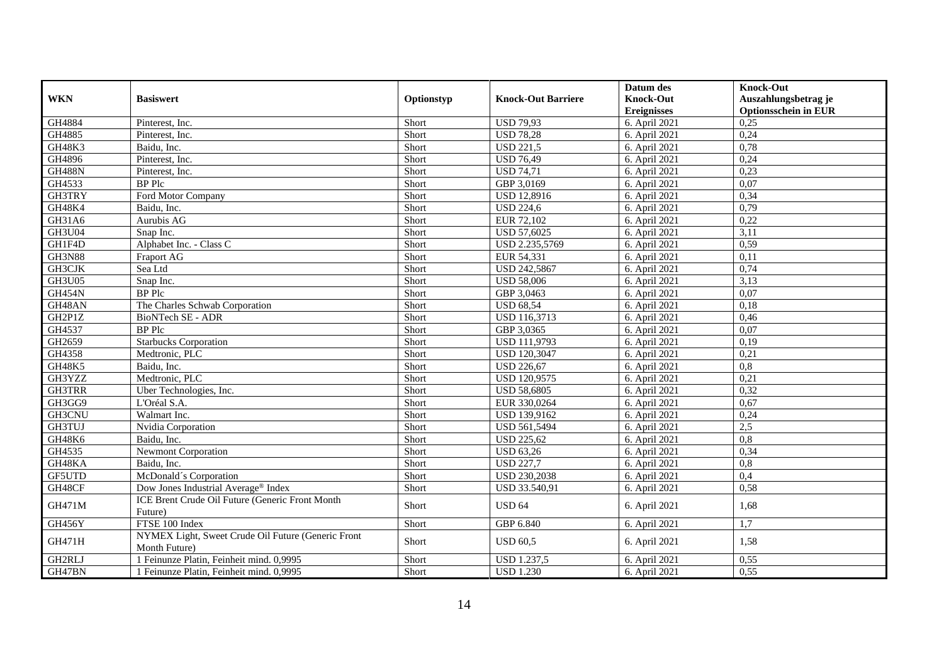|               |                                                                     |            |                           | Datum des          | <b>Knock-Out</b>            |
|---------------|---------------------------------------------------------------------|------------|---------------------------|--------------------|-----------------------------|
| <b>WKN</b>    | <b>Basiswert</b>                                                    | Optionstyp | <b>Knock-Out Barriere</b> | <b>Knock-Out</b>   | Auszahlungsbetrag je        |
|               |                                                                     |            |                           | <b>Ereignisses</b> | <b>Optionsschein in EUR</b> |
| GH4884        | Pinterest, Inc.                                                     | Short      | <b>USD 79,93</b>          | 6. April 2021      | 0,25                        |
| GH4885        | Pinterest. Inc.                                                     | Short      | <b>USD 78,28</b>          | 6. April 2021      | 0,24                        |
| GH48K3        | Baidu, Inc.                                                         | Short      | <b>USD 221,5</b>          | 6. April 2021      | 0,78                        |
| GH4896        | Pinterest, Inc.                                                     | Short      | <b>USD 76,49</b>          | 6. April 2021      | 0,24                        |
| <b>GH488N</b> | Pinterest, Inc.                                                     | Short      | <b>USD 74,71</b>          | 6. April 2021      | 0,23                        |
| GH4533        | <b>BP</b> Plc                                                       | Short      | GBP 3,0169                | 6. April 2021      | 0,07                        |
| GH3TRY        | Ford Motor Company                                                  | Short      | <b>USD 12,8916</b>        | 6. April 2021      | 0,34                        |
| GH48K4        | Baidu. Inc.                                                         | Short      | <b>USD 224,6</b>          | 6. April 2021      | 0,79                        |
| GH31A6        | Aurubis AG                                                          | Short      | EUR 72,102                | 6. April 2021      | 0,22                        |
| <b>GH3U04</b> | Snap Inc.                                                           | Short      | USD 57,6025               | 6. April 2021      | 3,11                        |
| GH1F4D        | Alphabet Inc. - Class C                                             | Short      | USD 2.235,5769            | 6. April 2021      | 0,59                        |
| <b>GH3N88</b> | Fraport AG                                                          | Short      | EUR 54,331                | 6. April 2021      | 0,11                        |
| GH3CJK        | Sea Ltd                                                             | Short      | <b>USD 242,5867</b>       | 6. April 2021      | 0,74                        |
| <b>GH3U05</b> | Snap Inc.                                                           | Short      | <b>USD 58,006</b>         | 6. April 2021      | 3,13                        |
| <b>GH454N</b> | <b>BP</b> Plc                                                       | Short      | GBP 3,0463                | 6. April 2021      | 0,07                        |
| GH48AN        | The Charles Schwab Corporation                                      | Short      | <b>USD 68,54</b>          | 6. April 2021      | 0,18                        |
| GH2P1Z        | <b>BioNTech SE - ADR</b>                                            | Short      | USD 116,3713              | 6. April 2021      | 0,46                        |
| GH4537        | <b>BP</b> Plc                                                       | Short      | GBP 3,0365                | 6. April 2021      | 0,07                        |
| GH2659        | <b>Starbucks Corporation</b>                                        | Short      | USD 111,9793              | 6. April 2021      | 0,19                        |
| GH4358        | Medtronic, PLC                                                      | Short      | <b>USD 120,3047</b>       | 6. April 2021      | 0,21                        |
| <b>GH48K5</b> | Baidu, Inc.                                                         | Short      | <b>USD 226,67</b>         | 6. April 2021      | 0,8                         |
| GH3YZZ        | Medtronic, PLC                                                      | Short      | USD 120,9575              | 6. April 2021      | 0,21                        |
| GH3TRR        | Uber Technologies, Inc.                                             | Short      | <b>USD 58,6805</b>        | 6. April 2021      | 0,32                        |
| GH3GG9        | L'Oréal S.A.                                                        | Short      | EUR 330,0264              | 6. April 2021      | 0,67                        |
| GH3CNU        | Walmart Inc.                                                        | Short      | USD 139,9162              | 6. April 2021      | 0,24                        |
| GH3TUJ        | Nvidia Corporation                                                  | Short      | USD 561,5494              | 6. April 2021      | 2,5                         |
| GH48K6        | Baidu, Inc.                                                         | Short      | <b>USD 225,62</b>         | 6. April 2021      | 0,8                         |
| GH4535        | <b>Newmont Corporation</b>                                          | Short      | <b>USD 63,26</b>          | 6. April 2021      | 0,34                        |
| GH48KA        | Baidu, Inc.                                                         | Short      | <b>USD 227,7</b>          | 6. April 2021      | 0,8                         |
| GF5UTD        | McDonald's Corporation                                              | Short      | <b>USD 230,2038</b>       | 6. April 2021      | 0,4                         |
| GH48CF        | Dow Jones Industrial Average® Index                                 | Short      | USD 33.540,91             | 6. April 2021      | 0,58                        |
|               | ICE Brent Crude Oil Future (Generic Front Month                     |            |                           |                    |                             |
| <b>GH471M</b> | Future)                                                             | Short      | <b>USD 64</b>             | 6. April 2021      | 1,68                        |
| <b>GH456Y</b> | FTSE 100 Index                                                      | Short      | GBP 6.840                 | 6. April 2021      | 1,7                         |
| GH471H        | NYMEX Light, Sweet Crude Oil Future (Generic Front<br>Month Future) | Short      | <b>USD 60,5</b>           | 6. April 2021      | 1,58                        |
| GH2RLJ        | 1 Feinunze Platin, Feinheit mind. 0,9995                            | Short      | <b>USD 1.237,5</b>        | 6. April 2021      | 0,55                        |
| GH47BN        | 1 Feinunze Platin, Feinheit mind. 0,9995                            | Short      | <b>USD 1.230</b>          | 6. April 2021      | 0,55                        |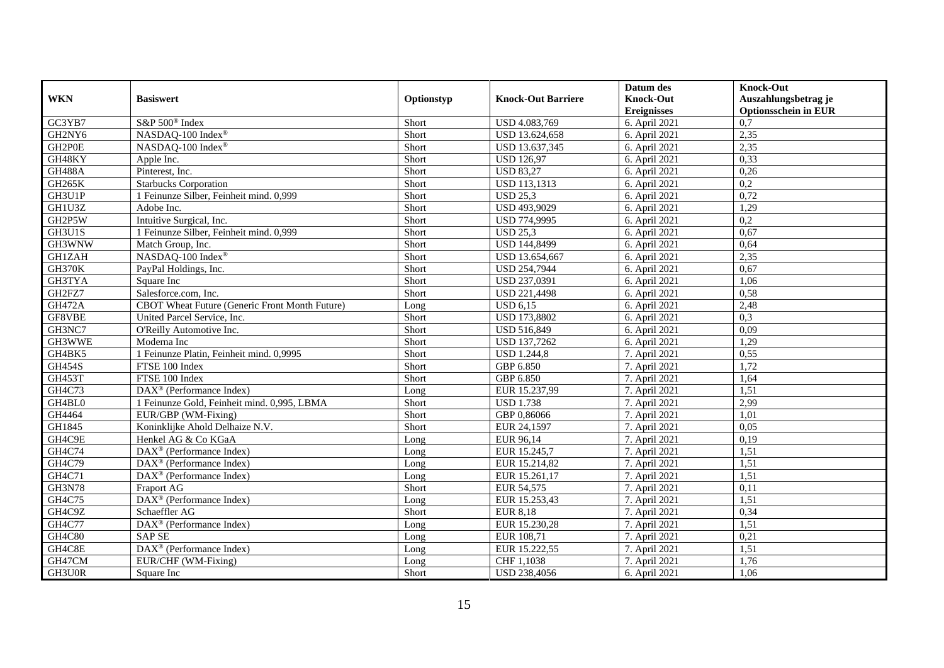|               |                                                         |            |                               | Datum des          | <b>Knock-Out</b>            |
|---------------|---------------------------------------------------------|------------|-------------------------------|--------------------|-----------------------------|
| <b>WKN</b>    | <b>Basiswert</b>                                        | Optionstyp | <b>Knock-Out Barriere</b>     | <b>Knock-Out</b>   | Auszahlungsbetrag je        |
|               |                                                         |            |                               | <b>Ereignisses</b> | <b>Optionsschein in EUR</b> |
| GC3YB7        | S&P 500 <sup>®</sup> Index                              | Short      | USD 4.083,769                 | 6. April 2021      | $\overline{0.7}$            |
| GH2NY6        | NASDAQ-100 Index®                                       | Short      | USD 13.624,658                | 6. April 2021      | 2,35                        |
| GH2P0E        | NASDAQ-100 Index®                                       | Short      | USD 13.637,345                | 6. April 2021      | 2,35                        |
| GH48KY        | Apple Inc.                                              | Short      | <b>USD 126,97</b>             | 6. April 2021      | 0,33                        |
| <b>GH488A</b> | Pinterest, Inc.                                         | Short      | <b>USD 83,27</b>              | 6. April 2021      | 0,26                        |
| <b>GH265K</b> | <b>Starbucks Corporation</b>                            | Short      | <b>USD 113,1313</b>           | 6. April 2021      | 0,2                         |
| GH3U1P        | 1 Feinunze Silber, Feinheit mind. 0,999                 | Short      | $\overline{\text{USD 25}}$ ,3 | 6. April 2021      | 0,72                        |
| GH1U3Z        | Adobe Inc.                                              | Short      | USD 493,9029                  | 6. April 2021      | 1,29                        |
| GH2P5W        | Intuitive Surgical, Inc.                                | Short      | USD 774,9995                  | 6. April 2021      | 0,2                         |
| GH3U1S        | 1 Feinunze Silber, Feinheit mind. 0,999                 | Short      | <b>USD 25,3</b>               | 6. April 2021      | 0,67                        |
| GH3WNW        | Match Group, Inc.                                       | Short      | <b>USD 144,8499</b>           | 6. April 2021      | 0,64                        |
| <b>GH1ZAH</b> | NASDAQ-100 Index®                                       | Short      | USD 13.654,667                | 6. April 2021      | 2,35                        |
| <b>GH370K</b> | PayPal Holdings, Inc.                                   | Short      | <b>USD 254,7944</b>           | 6. April 2021      | 0,67                        |
| GH3TYA        | Square Inc                                              | Short      | USD 237,0391                  | 6. April 2021      | 1,06                        |
| GH2FZ7        | Salesforce.com, Inc.                                    | Short      | USD 221,4498                  | 6. April 2021      | 0,58                        |
| <b>GH472A</b> | CBOT Wheat Future (Generic Front Month Future)          | Long       | <b>USD 6,15</b>               | 6. April 2021      | 2,48                        |
| GF8VBE        | United Parcel Service, Inc.                             | Short      | USD 173,8802                  | 6. April 2021      | 0,3                         |
| GH3NC7        | O'Reilly Automotive Inc.                                | Short      | <b>USD 516,849</b>            | 6. April 2021      | 0,09                        |
| GH3WWE        | Moderna Inc                                             | Short      | USD 137,7262                  | 6. April 2021      | 1,29                        |
| GH4BK5        | 1 Feinunze Platin, Feinheit mind. 0,9995                | Short      | <b>USD 1.244,8</b>            | 7. April 2021      | 0,55                        |
| <b>GH454S</b> | FTSE 100 Index                                          | Short      | GBP 6.850                     | 7. April 2021      | 1,72                        |
| <b>GH453T</b> | FTSE 100 Index                                          | Short      | GBP 6.850                     | 7. April 2021      | 1,64                        |
| GH4C73        | DAX <sup>®</sup> (Performance Index)                    | Long       | EUR 15.237,99                 | 7. April 2021      | 1,51                        |
| GH4BL0        | 1 Feinunze Gold, Feinheit mind. 0,995, LBMA             | Short      | <b>USD 1.738</b>              | 7. April 2021      | 2,99                        |
| GH4464        | EUR/GBP (WM-Fixing)                                     | Short      | GBP 0,86066                   | 7. April 2021      | 1,01                        |
| GH1845        | Koninklijke Ahold Delhaize N.V.                         | Short      | EUR 24,1597                   | 7. April 2021      | 0,05                        |
| GH4C9E        | Henkel AG & Co KGaA                                     | Long       | EUR 96,14                     | 7. April 2021      | 0,19                        |
| GH4C74        | $\text{DAX}^{\textcircled{D}}$ (Performance Index)      | Long       | EUR 15.245,7                  | 7. April 2021      | 1,51                        |
| GH4C79        | $\text{DAX}^{\textcircled{D}}$ (Performance Index)      | Long       | EUR 15.214,82                 | 7. April 2021      | 1,51                        |
| GH4C71        | $\overline{\text{DAX}}^{\textcirc}$ (Performance Index) | Long       | EUR 15.261,17                 | 7. April 2021      | 1,51                        |
| <b>GH3N78</b> | Fraport AG                                              | Short      | EUR 54,575                    | 7. April 2021      | 0,11                        |
| GH4C75        | DAX <sup>®</sup> (Performance Index)                    | Long       | EUR 15.253,43                 | 7. April 2021      | 1,51                        |
| GH4C9Z        | Schaeffler AG                                           | Short      | <b>EUR 8,18</b>               | 7. April 2021      | 0,34                        |
| GH4C77        | DAX <sup>®</sup> (Performance Index)                    | Long       | EUR 15.230,28                 | 7. April 2021      | 1,51                        |
| GH4C80        | <b>SAP SE</b>                                           | Long       | EUR 108,71                    | 7. April 2021      | 0,21                        |
| GH4C8E        | DAX <sup>®</sup> (Performance Index)                    | Long       | EUR 15.222,55                 | 7. April 2021      | 1,51                        |
| GH47CM        | EUR/CHF (WM-Fixing)                                     | Long       | CHF 1,1038                    | 7. April 2021      | 1,76                        |
| GH3U0R        | Square Inc                                              | Short      | USD 238,4056                  | 6. April 2021      | 1,06                        |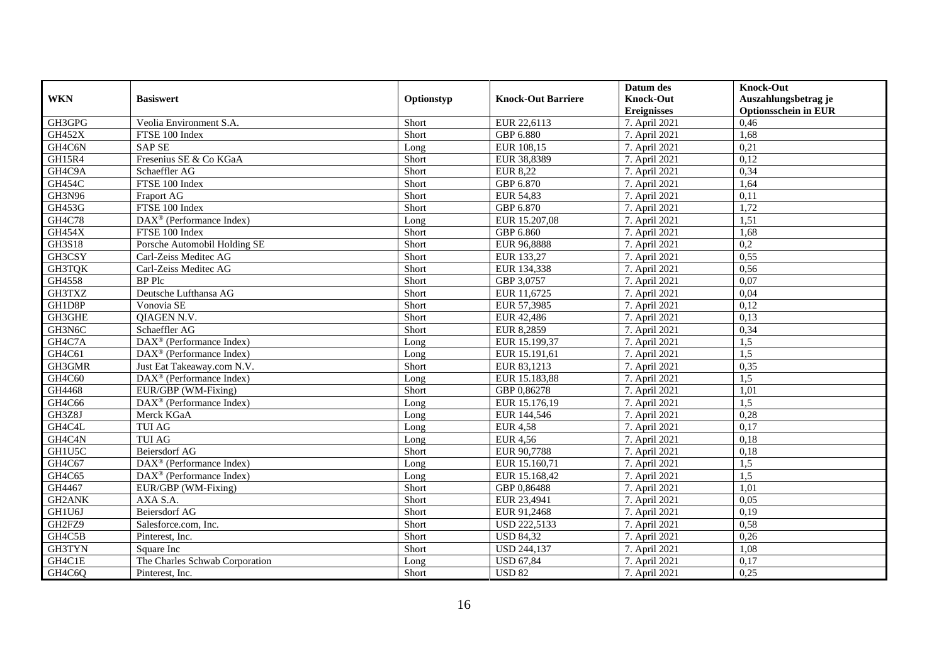|               |                                       |            |                           | Datum des          | <b>Knock-Out</b>            |
|---------------|---------------------------------------|------------|---------------------------|--------------------|-----------------------------|
| <b>WKN</b>    | <b>Basiswert</b>                      | Optionstyp | <b>Knock-Out Barriere</b> | <b>Knock-Out</b>   | Auszahlungsbetrag je        |
|               |                                       |            |                           | <b>Ereignisses</b> | <b>Optionsschein in EUR</b> |
| GH3GPG        | Veolia Environment S.A.               | Short      | EUR 22,6113               | 7. April 2021      | 0,46                        |
| <b>GH452X</b> | FTSE 100 Index                        | Short      | GBP 6.880                 | 7. April 2021      | 1,68                        |
| GH4C6N        | <b>SAP SE</b>                         | Long       | EUR 108,15                | 7. April 2021      | 0,21                        |
| GH15R4        | Fresenius SE & Co KGaA                | Short      | EUR 38,8389               | 7. April 2021      | 0,12                        |
| GH4C9A        | Schaeffler AG                         | Short      | <b>EUR 8,22</b>           | 7. April 2021      | 0,34                        |
| <b>GH454C</b> | FTSE 100 Index                        | Short      | GBP 6.870                 | 7. April 2021      | 1,64                        |
| GH3N96        | Fraport AG                            | Short      | <b>EUR 54,83</b>          | 7. April 2021      | 0,11                        |
| GH453G        | FTSE 100 Index                        | Short      | GBP 6.870                 | 7. April 2021      | 1,72                        |
| <b>GH4C78</b> | DAX <sup>®</sup> (Performance Index)  | Long       | EUR 15.207,08             | 7. April 2021      | 1,51                        |
| <b>GH454X</b> | FTSE 100 Index                        | Short      | GBP 6.860                 | 7. April 2021      | 1,68                        |
| <b>GH3S18</b> | Porsche Automobil Holding SE          | Short      | EUR 96,8888               | 7. April 2021      | 0,2                         |
| GH3CSY        | Carl-Zeiss Meditec AG                 | Short      | EUR 133,27                | 7. April 2021      | 0,55                        |
| GH3TQK        | Carl-Zeiss Meditec AG                 | Short      | EUR 134,338               | 7. April 2021      | 0,56                        |
| GH4558        | <b>BP</b> Plc                         | Short      | GBP 3,0757                | 7. April 2021      | 0,07                        |
| GH3TXZ        | Deutsche Lufthansa AG                 | Short      | EUR 11,6725               | 7. April 2021      | 0,04                        |
| GH1D8P        | Vonovia SE                            | Short      | EUR 57,3985               | 7. April 2021      | 0,12                        |
| GH3GHE        | QIAGEN N.V.                           | Short      | EUR 42,486                | 7. April 2021      | 0,13                        |
| GH3N6C        | Schaeffler AG                         | Short      | EUR 8.2859                | 7. April 2021      | 0,34                        |
| GH4C7A        | $DAX^{\circledR}$ (Performance Index) | Long       | EUR 15.199,37             | 7. April 2021      | 1,5                         |
| GH4C61        | $DAX^{\circledR}$ (Performance Index) | Long       | EUR 15.191,61             | 7. April 2021      | 1,5                         |
| GH3GMR        | Just Eat Takeaway.com N.V.            | Short      | EUR 83,1213               | 7. April 2021      | 0,35                        |
| GH4C60        | DAX <sup>®</sup> (Performance Index)  | Long       | EUR 15.183,88             | 7. April 2021      | 1,5                         |
| GH4468        | EUR/GBP (WM-Fixing)                   | Short      | GBP 0,86278               | 7. April 2021      | 1,01                        |
| GH4C66        | DAX <sup>®</sup> (Performance Index)  | Long       | EUR 15.176,19             | 7. April 2021      | 1,5                         |
| GH3Z8J        | Merck KGaA                            | Long       | EUR 144,546               | 7. April 2021      | 0,28                        |
| GH4C4L        | <b>TUI AG</b>                         | Long       | <b>EUR 4,58</b>           | 7. April 2021      | 0,17                        |
| GH4C4N        | <b>TUI AG</b>                         | Long       | <b>EUR 4,56</b>           | 7. April 2021      | 0,18                        |
| GH1U5C        | <b>Beiersdorf AG</b>                  | Short      | EUR 90,7788               | 7. April 2021      | 0,18                        |
| GH4C67        | DAX <sup>®</sup> (Performance Index)  | Long       | EUR 15.160,71             | 7. April 2021      | 1,5                         |
| GH4C65        | DAX <sup>®</sup> (Performance Index)  | Long       | EUR 15.168,42             | 7. April 2021      | 1,5                         |
| GH4467        | EUR/GBP (WM-Fixing)                   | Short      | GBP 0,86488               | 7. April 2021      | 1,01                        |
| GH2ANK        | AXA S.A.                              | Short      | EUR 23,4941               | 7. April 2021      | 0,05                        |
| GH1U6J        | <b>Beiersdorf AG</b>                  | Short      | EUR 91,2468               | 7. April 2021      | 0,19                        |
| GH2FZ9        | Salesforce.com, Inc.                  | Short      | USD 222,5133              | 7. April 2021      | 0,58                        |
| GH4C5B        | Pinterest, Inc.                       | Short      | <b>USD 84,32</b>          | 7. April 2021      | 0,26                        |
| GH3TYN        | Square Inc                            | Short      | <b>USD 244,137</b>        | 7. April 2021      | 1,08                        |
| GH4C1E        | The Charles Schwab Corporation        | Long       | <b>USD 67,84</b>          | 7. April 2021      | 0,17                        |
| GH4C6Q        | Pinterest, Inc.                       | Short      | <b>USD 82</b>             | 7. April 2021      | 0,25                        |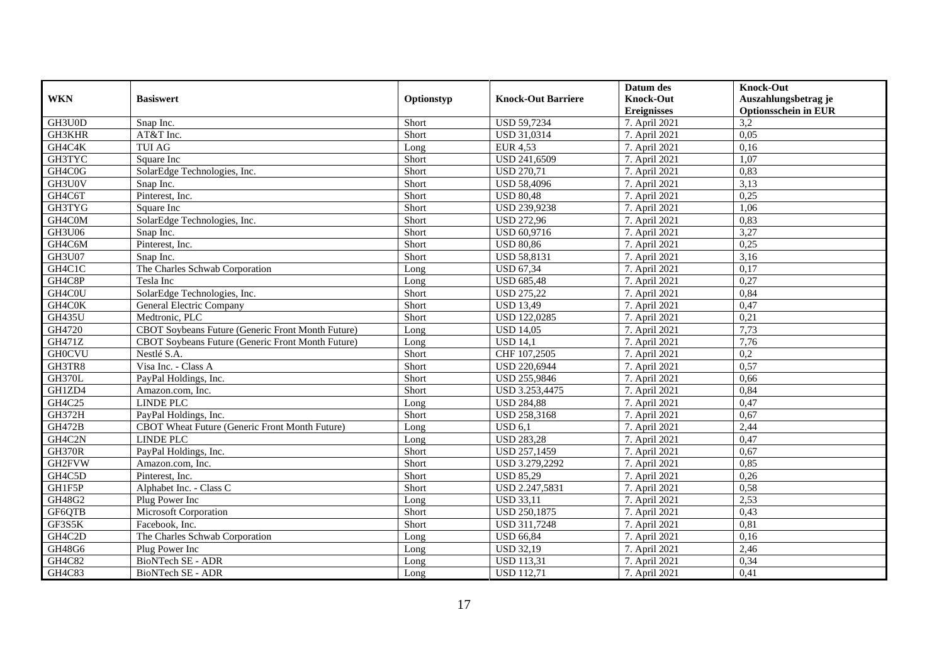|               |                                                   |            |                           | Datum des                              | <b>Knock-Out</b>                                    |
|---------------|---------------------------------------------------|------------|---------------------------|----------------------------------------|-----------------------------------------------------|
| <b>WKN</b>    | <b>Basiswert</b>                                  | Optionstyp | <b>Knock-Out Barriere</b> | <b>Knock-Out</b><br><b>Ereignisses</b> | Auszahlungsbetrag je<br><b>Optionsschein in EUR</b> |
| GH3U0D        | Snap Inc.                                         | Short      | <b>USD 59,7234</b>        | 7. April 2021                          | 3,2                                                 |
| <b>GH3KHR</b> | AT&T Inc.                                         | Short      | <b>USD 31,0314</b>        | 7. April 2021                          | 0.05                                                |
| GH4C4K        | <b>TUI AG</b>                                     | Long       | <b>EUR 4,53</b>           | 7. April 2021                          | 0,16                                                |
| GH3TYC        | Square Inc                                        | Short      | USD 241,6509              | 7. April 2021                          | 1,07                                                |
| GH4C0G        | SolarEdge Technologies, Inc.                      | Short      | <b>USD 270,71</b>         | 7. April 2021                          | 0,83                                                |
| GH3U0V        | Snap Inc.                                         | Short      | <b>USD 58,4096</b>        | 7. April 2021                          | 3,13                                                |
| GH4C6T        | Pinterest, Inc.                                   | Short      | <b>USD 80,48</b>          | 7. April 2021                          | 0,25                                                |
| GH3TYG        | Square Inc                                        | Short      | USD 239,9238              | 7. April 2021                          | 1,06                                                |
| GH4C0M        | SolarEdge Technologies, Inc.                      | Short      | <b>USD 272,96</b>         | 7. April 2021                          | 0,83                                                |
| GH3U06        | Snap Inc.                                         | Short      | USD 60,9716               | 7. April 2021                          | 3,27                                                |
| GH4C6M        | Pinterest, Inc.                                   | Short      | <b>USD 80,86</b>          | 7. April 2021                          | 0,25                                                |
| GH3U07        | Snap Inc.                                         | Short      | <b>USD 58,8131</b>        | 7. April 2021                          | 3,16                                                |
| GH4C1C        | The Charles Schwab Corporation                    | Long       | <b>USD 67,34</b>          | 7. April 2021                          | 0,17                                                |
| GH4C8P        | Tesla Inc                                         | Long       | <b>USD 685,48</b>         | 7. April 2021                          | 0,27                                                |
| GH4C0U        | SolarEdge Technologies, Inc.                      | Short      | <b>USD 275,22</b>         | 7. April 2021                          | 0,84                                                |
| GH4C0K        | <b>General Electric Company</b>                   | Short      | <b>USD 13,49</b>          | 7. April 2021                          | 0,47                                                |
| <b>GH435U</b> | Medtronic, PLC                                    | Short      | USD 122,0285              | 7. April 2021                          | 0,21                                                |
| GH4720        | CBOT Soybeans Future (Generic Front Month Future) | Long       | <b>USD 14.05</b>          | 7. April 2021                          | 7,73                                                |
| <b>GH471Z</b> | CBOT Soybeans Future (Generic Front Month Future) | Long       | <b>USD 14,1</b>           | 7. April 2021                          | 7,76                                                |
| <b>GH0CVU</b> | Nestlé S.A.                                       | Short      | CHF 107,2505              | 7. April 2021                          | $\overline{0,2}$                                    |
| GH3TR8        | Visa Inc. - Class A                               | Short      | <b>USD 220,6944</b>       | 7. April 2021                          | 0,57                                                |
| <b>GH370L</b> | PayPal Holdings, Inc.                             | Short      | USD 255,9846              | 7. April 2021                          | 0,66                                                |
| GH1ZD4        | Amazon.com. Inc.                                  | Short      | USD 3.253,4475            | 7. April 2021                          | 0,84                                                |
| GH4C25        | <b>LINDE PLC</b>                                  | Long       | <b>USD 284,88</b>         | 7. April 2021                          | 0,47                                                |
| <b>GH372H</b> | PayPal Holdings, Inc.                             | Short      | USD 258,3168              | 7. April 2021                          | 0,67                                                |
| <b>GH472B</b> | CBOT Wheat Future (Generic Front Month Future)    | Long       | USD 6,1                   | 7. April 2021                          | 2,44                                                |
| GH4C2N        | <b>LINDE PLC</b>                                  | Long       | <b>USD 283,28</b>         | 7. April 2021                          | 0,47                                                |
| <b>GH370R</b> | PayPal Holdings, Inc.                             | Short      | USD 257,1459              | 7. April 2021                          | 0,67                                                |
| GH2FVW        | Amazon.com, Inc.                                  | Short      | USD 3.279,2292            | 7. April 2021                          | 0,85                                                |
| GH4C5D        | Pinterest, Inc.                                   | Short      | <b>USD 85,29</b>          | 7. April 2021                          | 0,26                                                |
| GH1F5P        | Alphabet Inc. - Class C                           | Short      | USD 2.247,5831            | 7. April 2021                          | 0,58                                                |
| GH48G2        | Plug Power Inc                                    | Long       | <b>USD 33,11</b>          | 7. April 2021                          | 2,53                                                |
| GF6QTB        | Microsoft Corporation                             | Short      | USD 250,1875              | 7. April 2021                          | 0,43                                                |
| GF3S5K        | Facebook, Inc.                                    | Short      | USD 311,7248              | 7. April 2021                          | 0,81                                                |
| GH4C2D        | The Charles Schwab Corporation                    | Long       | <b>USD 66,84</b>          | 7. April 2021                          | 0,16                                                |
| GH48G6        | Plug Power Inc                                    | Long       | <b>USD 32,19</b>          | 7. April 2021                          | 2,46                                                |
| GH4C82        | <b>BioNTech SE - ADR</b>                          | Long       | <b>USD 113,31</b>         | 7. April 2021                          | 0,34                                                |
| GH4C83        | BioNTech SE - ADR                                 | Long       | <b>USD 112,71</b>         | 7. April 2021                          | 0,41                                                |